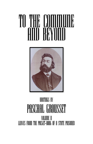# To the Commune and Beyond<br>Hill Beyond



## WRITINGS BY PASCHAL GROUSSET Volume ii LEAVES FROM THE POCKET-BOOK OF A STATE PRISONER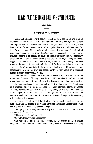### LEAVES FROM THE POCKET-BOOK OF A STATE PRISONER

#### (1880-1881)  $\overline{\phantom{a}}$

#### I. L'HEURE DE L'ABSINTHE

WELL nigh exhausted with fatigue, I had fallen asleep in an armchair. It was about four in the afternoon of a dull sultry 2d of June. For eight whole days and nights I had not stretched my limbs on a bed, and from the 23d of May I had lived the life of a salamander in the hell of hopeless battle and wholesale murder that Paris then was. Silence at last had succeeded the thunder of five hundred guns—the silence of the grave hanging over a holocaust of some twenty thousand beings. If an occasional round of rifles, bespeaking the supplementary assassination of two or three dozen prisoners in the neighbouring barracks, happened to tear the air from time to time, it sounded now, through the open window, like the mock report of a child's pistol. In the street below, four human carcasses, lying on the footpath in a pool of blood, were still waiting for the scavenger's cart. In the gray sky above, hardly a stray smut or a lingering cinder -of burnt paper was hovering.

The room was a common one at an hotel where I had just drifted, a waif and stray from the wreck. Of going home there could be no idea. To call on a friend would have been simply to serve him with a death-warrant. I had had a wash at a public bath, purchased a travelling-bag at the first shop that I had found open in a bystreet, and put up at the Hotel des Deux Mondes. 'Monsieur George Chapuis, barrister-at-law, from Lille,' was my entry on the register. I did not think the plan a good one, but I had not the option of another, and in fact I did not care much, being so tired. Not to awake suspicion, I slept in the armchair, with the key left in the door.

A sense of something cold that I felt on my forehead roused me from my slumber. It was the barrel of a revolver. Five men in private clothes were round me, and had taken hold of my arms and legs.

'I charge you with being Tiburce Moray, the member of the Commune,' said the man with the revolver.

'Did any one tell you I am not?'

'All right, then; you are a prisoner.'

This time it is not a joke. Once before, in the course of the 'Semaine Sanglante,' I had fallen into the hands of the regulars, and succeeded in slipping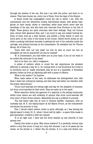through the meshes of the net. But now I am with the police, and there is no chance. They have known me, every one of them, from the days of the Empire.

A dense crowd has congregated round the cab in which I am, with the commissaire and two detectives—mostly well-dressed people, with glossy hats, gloves on their hands, sticks or umbrellas, white faces which never saw the hardships of the war, and who have just returned from Florence or the Isle of Wight. These gentry are quite overcome with their feelings. They roll furious eyes, clench their generous fists, and, I am sorry to say, are simply booting me. Some of them even go a little farther, and exhibit a lively desire to have me burnt alive on the ruins of the house at the corner. Others throw stones at me; while a pushing individual succeeds in getting the end of his umbrella inside the carriage, and poking furiously at the commissaire. He mistakes him for Tiburce Moray. All of them cry:

'Down with him! Let him walk! Let him be shot at once! Let him be strangled! Let him be quartered! Let him be roasted!'

'M. le Commissaire, you had better put on your sash, if you do not want to be cooked like mince-pie in my stead.'

And so he does, too, with a vengeance.

A picket of soldiers which is round the cab experiences the greatest difliculty in opening a way for it. On coming down to the Boulevard the crowd is so enormous and so' madly infuriated, that we are at a standstill. A Versaillist general rushes up from an adjoining café with a posse of officers.

'What is the matter?' he inquires.

When made aware of the case, he addresses the distinguished mob, tells them I shall lose nothing by waiting, and that they had better not interfere with the proper executioners.

'Drum court-martials are sitting night and day for the despatch of business. Let drum court-martials do their work. They are quite up to the mark.'

Which assertion elicits the approval of a majority in the yelling community, whilst some others are still evidently of opinion that drum court-martials fall very short of their divine mission. Meanwhile the cab is suffered to proceed.

'You had better take him at once to General Galiffet,' stammers, with an unsteady eye, M. F., the deputy-mayor at the Mairie Drouot, as the commissaire introduces his prisoner to him.

This, I should rather believe, bodes no good, although, as I was leaving the deputy-mayor's study, Dr. X., whom I know well by sight——a spare little sneak in gold spectacles—crawled in with the remark:

'It is all right now. I have had the blood washed up and chloride of lime spread over.'

Clearly this bodes no good. Why mince matters? It is perfectly obvious that within a very few hours—it may be a very few minutes—I am to be passé par les armes, as the phrase is. I rather like the phrase. It is a neat and decent one.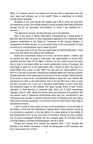When it is uttered, would it not seem as if the fact that it expresses were the most usual and ordinary one in the world? There is something in it which sounds almost homelike.

Homelike or not, such things will happen, and I am to know ere long what the experience is like. The trifling operation would probably have been performed already but for an important circumstance, to which I am indebted for a reprieve:

'The general is not here. He has just gone out to his absinthe.'

Such is the piece of oflicial information volunteered by a young fellow in gold lace and red trousers, on the commissaire applying to the temporary headquarters, established in the Palais de l'Industrie, at the Champs Elysées. In consequence of which answer, it is the painful duty of the commissaire to have me shut up in the guardroom, and to leave me there.

'I am very sorry to do so. But you heard what the aide-de-camp said. I must go at once and report the news at the Préfecture.'

Really the commissaire seems to be sorry. He would rather, I believe, ask my pardon for what is going to take place. My apprehension is worth 400l. premium and the Cross of the Legion of Honour to him, which cannot but cause him to look at the whole affair as a most satisfactory stroke of business, but personally he does not in the least desire that I should be shot. One may be a police-officer and a man as well. When one has been for three-quarters of an hour in a cab with a prisoner, chatting and smoking cigars and sharing umbrellathrusts with him—even supposing the prisoner to be the 'sinister Tiburce Moray' in the flesh—it must be an uncomfortable feeling to hand him over, without the semblance of a trial, to the executioner. This is not the first time I have to note the fact: the police, as a rule, are a thousand times better in such crises than the profanum vulgus or the soldiery. The latter indulge freely in their frantic impulses, in their genuine or assumed rage, above all, in their immoderate longing of faire du zèle; whilst the former alone are composed and sceptical, like the passive tools of ephemeral governments that they are, accustomed to see revolutions rise and fall, to receive to-day the word of command from men whom they took in custody yesterday, or to arrest to-morrow those whom they obey at the present moment.

I am in a hole of three yards by four, on the ground-floor of the left aisle of the Palace. A field bed—the cleanliness of which seems rather doubtful, as far as it is possible to ascertain in the dim glitter of a small grating in the middle of the double-bolted door—is the only piece of furniture. Facing my door, another one, its exact counterpart: between the two, a square space of a few feet, held by a young Chasseur d'Afrique mounting guard, sword in hand.

Groans are coming from behind the opposite door. I look through the grating at the soldier. He seems to think mounting guard a dull business, and has a kind candid sort of face.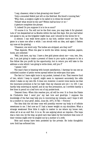'I say, chasseur, what is that groaning over there?'

'Only a wounded fédéré just left on the field-bed. His blood's running fast.'

'Why, then, a surgeon ought to be called in to dress his wound!'

'Pshaw! what would be the use? Within half-an-hour or so—'

A gesture completes the phrase.

'O, indeed! Do you suppose it is to be so soon?'

'Of course it is. You will not be the first ones, you may take it for granted. Lots of 'em despatched at La Muette within the last few days. But you had better not speak to me, as the brigadier might hear, and I should be the worse for it.'

A silence. I can walk three paces in my hole, neither more nor less. The game is a tame one after a while. I am struck with an idea, and again I flatten my nose at the grating.

'Chasseur, one word only. The bodies are stripped, are they not?'

'That depends. When the gear is worth the while: money, watches, papers, boots, are collected.'

'Well, look here, my boy. I have a few gold pieces about me——one, two, five, six. I am just going to make a present of them to you—quite a pleasure to let a fine fellow like you profit by the opportunity; but in return you will take to the address a note which I am going to write down, will you P'

'I guess I will.'

The man's face is beaming with honest satisfaction. I daresay he can see an unlimited number of petite verres spread before his wide-open blue eyes.

The fact is I have eight louis in my pocket, instead of six. That reserve fund of two, which I keep to myself, might seem to represent accurately the odds which I stake on my own life. It does not, however. A secret voice warns me that the insurance premium is far too high—that my chances are not 1 to 100. I can hardly help sneering at myself, and at my fine precaution, as I scribble hastily a few lines in pencil on a leaf torn out of my pocket-book.

'Dearest Ones,—When this reaches you, all will be over. It is from the Palais de l'Industrie that I send you' my last love and good-bye. I suppose the knowledge of the fact may help you in recovering my remains, and I hope it will be a comfort to 'your grief. Adieu. June 2d, 1871, 6 P.M.——TIBURCE.'

The idea that the old dear ones will possibly recover my body is of infinite sweetness to me. I feel now as if I had a lesser weight on my shoulders. What a strange weakness! How little it ought to matter to me where my bones rest, when all is at an end! But. it is so. No use arguing about an impulse.—The hope was a vain one, by the way, as good care was taken by the butchers that none of their victims might ever be singled out by a mother or a wife.

Note and money have been pocketed by the private. He looks thoughtful now. Gold has softened him.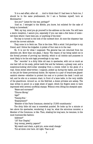'It is a sad affair, after all. . . . And to think that if I had been in Paris too, I should be in the same predicament; for I am a Parisian myself, born at Montmartre.'

'Are you? 'Listed for the war, perhaps?'

'Just so. I belonged to the Mobile, you know, but enlisted for the sake of being on horseback.'

'Well, my boy, mind you go yourself to the address on the note. You will have a warm reception, I assure you, especially if you can take a few items of news tell them where I have been put, or anything of the kind.'

The key is turned in the lock of the outward door. At once the chasseur has struck the correct attitude.

They come in to fetch me. This is the time. With a wink I bid good-bye to my friend, and I follow the brigadier. A picket of four men is in the rear.

No. It is not for what I supposed. The general has not returned from his absinthe yet. More than one glass, I fancy. The reason of my being called out is the formal process of proving my identity, which to all intents and purposes is most likely to be the sole legal proceedings in my case.

The ' recorder' is a dirty little old man in spectacles, with not so much as one hair left on his scalp, yellow teeth few and far between, a greasy coat, and a suspicious-looking shirt-collar emerging from a cravat rolled in the guise of a rope. Some street letter-writer, I suppose, picked up during the battle, and hired on the job for these provisional duties. He rejoices in a pair of brand-new glazedcambric sleeves—-whether to protect his coat or to protect the desk I could not tell; and he sits on a common chair, in front of a lame table, in the very middle of the guardroom. Around us, on the field-bed, a dozen privates are asleep. The man writes in pencil on a large sheet of paper, which his fingers seem to have impressed with several unofficial stamps. Without even lifting his sheepish eyes:

'Name and surname?'

'Tiburce Moray.'

'Age?'

'Twenty-five.'

'Employment?'

'Member of the Paris Commune, elected by 17,000 constituents.'

The dirty little old man is somewhat puzzled. He looks up for a minute or two above his spectacles, wondering, it may be, what the atrocious monster, a Member of the Commune, is like. Then, shaking his long ears, he resumes, in the most business-like fashion:

'Address?' '127 Rue Chaptal.' 'Any money, jewelry, papers?' 'My watch and chain, a gold pin, some small change.' 'Put all down over here. All right. That is all.'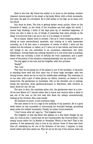Back to the hole. My friend the soldier is no more on the landing. Another chasseur mounts guard in his stead—a big lanky fellow, with a thick moustache, dull eyes, the gait of a drunkard. He is half asleep on his legs, as he leans over his sword.

Sun must be down. The hole is getting darker every minute. Alone on the threshold of death, on the brink of the boundless sea that edges the world, I cannot help thinking. I think of the days gone by, of vanished happiness, of every one who is dear to me; of things of yesterday that seem already so far away; of to-morrow that I am not to see. Is it in despair or sorrow?

By no means. Rather more in wonder. I feel as if I were dreaming awake, or sitting at some extraordinary spectacle, and looking at it with passionate curiosity; as if all this were a succession of events of which I were not the subject but the witness; or rather, as if I were cut in two halves, and there were two beings in me, one submitted to an uncommon experiment, the other beholding it. Coming death has nothing repulsive in it, but much that is puzzling. Mixed with my curiosity, a kind of self-pity far from unpleasant, and a queer sense of the poetry of the situation creeping gradually into my inner self.

The key again in the lock, and the brigadier with four privates.

'Ready?'

'Yes, I am.'

This time we are going out of the palace to one of the by-alleys. A barouche is standing there with the door open—one of those large carriages, with two strong horses, which are let on hire for middle-class weddings. The coachman is on his seat, with a pair of white gloves—no ribbon, however; no flowers in his button-hole. Six gendarmes on horseback, rifle on the shoulder, are in waiting. Inside the barouche, three gardiens-de-la-paix in field-dress, with revolver in hand. Room for one—for me.

The door is shut, the coachman gives rein, the gendarmes start at a trot off we are! Where to? I should rather like to know, and venture after a while to ask one of the men on the fore seat who faces me, always conscientiously holding up his revolver, like a wax candle.

'No business of yours,' is the courteous reply.

The man seems to be in a rage at the audacity of my question. He is a good while before he has succeeded in overcoming his wounded feelings, grumbling away under his reddish moustache. Finally, he comes round somehow.

'I don't know, after all,' says he. ' The brigadier does.'

The brigadier is that big fellow who gallops on a fine black charger by my side. As I look at him, I notice that we are running down the Cours-la-Reine. I am clearly bound either for La Muette or Versailles. Which of the two? That is the question. A few passers-by stop to look at my retinue. Some of them take their hats off, mistaking me for one of the dictators of the hour, I suppose, or they would rather pelt than salute me. Now we are at the top of the avenue; down we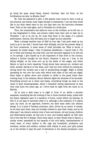go along the quay, along Passy, Auteuil. Good-bye, dear old Paris. At the fortifications we stop. La Muette, then?

No. Only the password to give. A few guards come round to have a look at the prisoner, and mutter some vague threats to themselves. I can see they would like to try their sweet hand on me, but they dare not; the barouche overawes them. Then on the road again, and to Versailles at a brisk pace.

Thus, the commissaire has called at once on the civilians, as he left me, or he has telegraphed to them, and precise orders have been sent to take me to Versailles. I am to be put by, for some final farce in the shape of a judicial performance. General, this will teach you to linger by your absinthe!

What a strange machine man is! Half an hour ago I had quite made up my mind to go to the wall; I should have died willingly; and yet the present delay is far from unwelcome. A mean sense of relief pervades me. What is worse, it assumes its lowest shape——that of physical satisfaction. I cannot help it. The air is fresh and bracing, the road even, and the barouche happens to be well set on its springs. I give myself up to the enjoyment of that drive in the country, without a further thought for the future, whatever it may be. I look, in the falling twilight, at the trees torn up by the shells of two sieges, and which Nature is hard at work repairing. Young shoots have sprung out, verdant and thick, already. Spring is on the wane, and I had not even noticed its coming yet, during those two months and a half of all-absorbing struggle. Night is slowly spreading its veil over the ruins with which both sides of the road are edged. Stars begin to glitter above and crickets to strike in the grass below their evening song. In the distance, Mount Valerien lights the windows of its barracks. Everything around me is silent and balmy; everything brings me back to the sense of quiet dreaming-awake, which I remember having experienced on that very road some two years ago, as I drove back at night from the races at La Marche.

All at once a dark mass is in sight in front of us, whilst a peculiar stampede, something like the trotting of two or three hundred sheep, mixed with the heavy regulation pace of a squadron of horse, comes within my hearing. At first it is not easy to ascertain what it is, although a dim suspicion of it dawns upon my mind. As we approach, however, the dark mass melts into distinct beings. It is a band of Parisian prisoners, afoot, driven by an escort of cavahy. As we bear upon them, they are brutally ordered to open their ranks; and as we slide past I can discern several rows of men and women, old and young, children and white-haired people, all tied arm to arm, and looking eagerly up with eyes full of the wild fire of despair. There they stand, on their dreary way to Satory, a motley crowd, assembled by the hazards of the civil battle, representatives of every class, of every station in life; rags and broadcloth, professors and workmen, artists and soldiers, mothers with infants in arms, poor girls picked up in the streets to play the part of pétroleuse in the dismal procession; none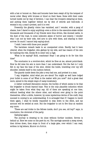with a hat or bonnet on. Hats and bonnets have been swept ofl by the tempest of moral order. Many with bruises or blood on their faces. Some with their coats turned inside out by way of derision. I can hear the troopers swearing at them, and putting them together behind me by dint of swords and butt-ends. A woman's cry, a man's protest, and it is over.

Presently the ghastly vision has vanished, and I wonder, with a pang of shame, how I dared to enjoy anything—even a drive to the execution-stake whilst thousands and thousands of my friends were thus driven, like doomed cattle, in the dust of the road, to some unknown abyss of horror and misery. I wonder why I am not by their side, tied arm to arm with them, and sharing in their sorrow. So much I cannot help saying aloud.

'I wish I were with those poor people!'

The harmless remark leads to an unexpected crisis. Hardly had it been uttered, when the brigadier, who gallops by my side, and has reason of his own for loathing the ride, thinks fit to enter into a rage.

'What is he saying? Hold, coachman! Stop! I am going to do for him this time!'

The conclusion is a revolver-shot, which he fires at me, almost point-blank. How he did miss his aim is more than I can understand. But the fact is I only felt in my face the heat of the shot, whilst the bullet, travelling over my left shoulder, imbeds itself in the cushion behind.

The guards inside deem the joke a very bad one, and protest to a man.

'I say, brigadier, mind what you are about! You might as well have lodged your bullet in some of us! What is the matter with you now?' And a great deal more, spiced in the simple ways of camp-vocabulary.

A rather confused discussion ensues, the burden of which seems to be that the brigadier is drunk beyond hope. This is the only plausible induction which might be taken from what they say. All of them are speaking at one time, without heeding what the others utter, and without ever going to the point themselves. After a while, however, by some mysterious device of the craft, they succeed in coming to an understanding. It is arranged that if I happen to insult them again, I shall be kindly requested to step down to the ditch, and my account will be settled at once. But the brigadier is not to fire thus at random any more.

'These are sad tricks to the fellows inside, don't you see, old boy?' says, in conclusion, the cleverest of the party.

Galloping again.

The journey is drawing to its close without further incident. Sevres is behind us. Here we come on the pavé du roi. The carriage ascends a steep street, then drives down, then stops in front of a large gate, over which I can read, written in big letters, MAISON DE JUSTICE.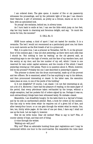I am ordered down. The gate opens. A muster of five or six passers-by witnesses the proceedings, and by the yellowish light of the gas I can discern their features. A girl of seventeen, as pretty as a Greuze, stares at me in the face, with an astonished look.

'So young!' she exclaims, behind me, in silvery tones.

As I turn back to smile at her, I can see the little witch jump on her feet, clap her tiny hands in charming and ferocious delight, and say, ' So much the worse for him, the monster!'

#### II. CELL No. 3.

NINE hours asleep; a kind of sport I had not tasted for months. It is a revanche. The bed I would not recommend as a particularly good one; but there is no such narcotic as the first breath of air in a prison-cell.

Well, it is quite true. I am a prisoner at Versailles, Cell No. 3, on the groundfloor of the common gaol. I was not shot yesterday, as there were such odds that I should be. 'But nothing to lose by waiting,' as the old general said, as everything says to me—the logic of events, and the face of my warders here, and the sentry at my door, and the low number of my cell, which I know is one reserved for men under capital sentence, and the rounds of fire which I heard yesterday evening as I fell asleep. There is no question about it. Which, however, will be the process? Probably the one I saw described in yesterday's papers:

'The prisoner is shown into the drum court-martial, made up of the provost and two officers. He is examined, asked if he has anything to say in his defence, and then pronounced interesting or classé. In the latter case, the execution takes place at once, in one of the yards of the building.'

Is it not delightful? Of course, I am classé. I do not feel interesting at all, not a bit of it. Moreover, I have had the pleasure of reading, in the same paper of the period, that every pétroleuse taken red-handed by the troops, without a single exception, had her pockets full of orders signed by me. Perhaps it was so; such extraordinary things have been witnessed lately. No mistake—classé.

Meanwhile, I am dreadfully hungry. On the table there is a. big loaf of bread, and by its side an earthenware pitcher. Next, a book for orders at the canteen. One has only to write down what» he requires out of a given bill of fare, and after twenty-four hours. or so one gets through the wicket what he wants. One, two, ten, thirty white pages. At the rate of one per diem, I dare say I shall not use up the book. Let me begin it, however.

Now let me write home. Dear old mother! What to say to her? Fibs, of course—plenty of hope, and that sort of thing.

A voice through the wicket:

'Walking out—will you?'

Why not? What an admirable humbug those gaol regulations are! I may be summoned within one hour to the court-martial. But meanwhile the rules want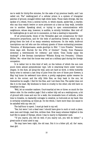me to walk for thirty-five minutes, for the sake of my precious health, and I am called out. The" walking-yard of a cellular prison is a system of triangular patches of ground, encaged within high white walls. Those walls diverge, like the spokes of a wheel, from a central turret, in which stands, spider-like, a warder, who can thus watch twelve or more prisoners at a time as they walk, invisible one to another. Speaking aloud, or trying to open communications with neighbours, whose step, however, is audible, is strictly forbidden. Men told ofl' for walkingtime go in and out in succession, so that a meeting is impossible.

Of all prison-yards, those of the Versailles gaol are conspicuous for their diminutive proportions, and for the beds of parched-up flowers, which help in giving them the look of so many cemetery enclosures. On the walls, knife-cut inscriptions can tell who are the ordinary guests of those enchanting premises: 'Volumine, of Montpernasse, sends good-bye to Bibi.' 'I love Frisette.' 'Seventythree days still. Hurrah for the 27th of October!' 'Ducky, from Plaisance stretches a twelvemonth for robbery;' and below, 'Does Ducky enjoy the ducking?' A few German inscriptions—'Wilhelm Konig von Preussen,' 'Johann Miiller,' &c.—show that the house was used as a military gaol during the foreign occupation.

It is rather hot in this kind of well, on the bottom of which the sun now pours down almost perpendicular rays. Life is swarming there under various shapes. In the dust, all along the wall, ants are hard at work. A white butterfly fairly tries to extract a last drop of juice from the core of those poor flowers; a May bug hums its awkward tune above; a pretty sage-green spider weaves its web in the corner, and the silly little flies, as they bask in the sun, let themselves be caught. I feel for the flies, and I set them free. The spider does not like it in the least. My kindness to them is cruelty to the other; she will have no breakfast to-day.

'Well, let us consider matters. Court-martial at two or three: so much for the debtor side. On the creditor page I find a rather tidy cell as a waiting-room, a bit of ground with roses and sun for a walk, the invaluable boon of solitude, a little time to breathe, no dastardly outrages to swallow, no butt-ends at my back: this is certainly something, as times go. On the whole, I have more than one cause to be satisfied with my own lot.'

The half-hour is spent. I must go back to my cell.

'Yes; but were I not a dead man I should have gone to such or such a place, seen men and things, read this, written that. How many schemes blighted in the bud! Not to speak of Olympe, whom I was to marry in September next.

'"If you marry, you will do well; if you marry not, you will do better,"' a great-uncle of mine used to say.

'He may have been right, the old man. But it is a bitter pill, all. the' same, dear girl.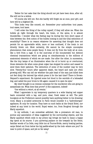'Better for her sake that the thing should not yet have been done, after all. She will not be a widow.

'Of course she will not. But she hardly will forget me at once, poor girl, and hers will be a blighted life.

'This looks very like conceit, sir. Remember your authorities: tout passe, tout casse, tout lasse.

'I will order the firing of the volley myself, if they will allow me. When the bullets go right through the heart, the brain, or the spine, it is almost thunderlike. I wonder what the feeling may be during the very short space of time between the. first notion of the bullets coming in and the total extinction of sensibility? There is no reason whatever for asserting that thought does not persist for an appreciable while, more or less confused, if the brain is not directly blown out. Most certainly, life cannot be the simple uncomplex phenomenon that some people fancy. It does not fly from the body all at once, like a bird from a cage. It is the sum-total of the innumerable but distinct chemical transactions which are going on simultaneously in the millions of anatomical elements of which we are made. One after the other, in succession, like the tiny lamps of an illumination when the oil is burnt up or overturned, those elements die when some great organ has stopped its action and ceased to send them their pabulum. The extinction of some of the number may be very slow. Twenty-four hours after apparent death, the beard and nails are often growing still. Who can tell me whether the pale head of the man just killed does not feel dimly the beloved lips which press it for the last time? There is Brown-Séquard's experiment. He injected some hot blood in the carotids of a beheaded dog, and called the poor brute to life again—caused it to open its eyes.'

My chief thought is an intense contempt for the murderers who are going to assassinate me. What does that prove? A fine argument, indeed!

'One without a retort, at all events.'

What I appreciate in my temporary quarters is a wide blazing red copper basin connected with a tap, and pure, clear, fresh water at will. The petit bourgeois at the Prefecture cannot possibly have anything better in his dressingroom. Many a so-called aristocrat in Paris would consider it a 'hydrotherapic' appliance, fit only for lunatics. They have no such baths at the Grand Hotel, nor indeed at any hotel in the world. Royal water, too, from Bougival through the Marly aqueduct.

In my solitude, I am somewhat addicted, like a premature old man, to pursue any association of ideas suggested by the surrounding objects, and the Marly aqueduct which ends in my prison tap brings me back to many a happy day spent at its source. O you quivering poplars on the towpath by the Seine, familiar woods of La Celle, cosy little inn at Tourne-Bride, merry boating parties, carps fished out from below the big paddle-wheel by the lock—where are you? So near in point of space, and yet so far away!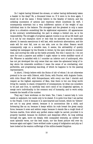Do I regret having followed the stream, or rather having deliberately taken a header in the deep? No, a thousand times no. If it were to be done again, I would do it all the same. I firmly believe in the fatality of history, and the unfailing succession of actions and reactions which constitute its weft. I consequently entertain but a very indifferent opinion of the weight of any individual man in the balance. The strongest and the greatest is only a name given to a situation—something like its algebraical expression. All appearances to the contrary notwithstanding, his part is always a limited one, as is his responsibility. The struggle of progress against routine is as old as life itself, and it is not by one champion more or less that its episodes can be materially altered. In saecula saeculorum it will last, with isochronic alternations, and the scale will for ever fall, now on one side, now on the other. Reason would consequently urge on a sensible man, it seems, the advisability of quietly reading his newspaper by the fireside in winter, by the open window in summer time, and scoring the odds as the battle proceeds. But this I cannot do. I do not care for such a passive and selfish—I ought rather to write shellfish—mood of life. Whoever is satisfied with it I consider an inferior sort of anthropoid, who has not yet developed the only sense that can raise the ephemeral being of today above his miserable condition—I mean the sense of an everlasting, ever perfectible, and progressing man-king, of which he happens to be the passing representative.

In short, I firmly believe with the Stoics of old—of whom I do not otherwise pretend to be one—with Diderot, with Cloots, with Fourier, with Auguste Comte, with John Stuart Mill, with Schopenhauer, with every one that I cherish and respect as the highest expression of Man, that there is but one thing worth living for, namely, to stand, irrespective of consequences, by what one considers to be just and true, to carefully heal one's mind of its congenital egotism, to merge one's individuality in the common soul of humanity, and to work solely towards the benefit of the number.

They say I have workman on the brain. Yes, I have; I cannot help it. Love needs no argument, but needs only to be stated. It is quite true that I am partial to the People. I love it because it is open-hearted and honest, which its 'betters' are not to any great extent; because it is unconscious like a child, and forbearing like an ox; because it keeps within its rude breast the great manly force; because it sows and seldom reaps; because it stands like a rough block of Carrara marble, from which any perfect statue might be carved, provided it is properly handled; because its stubborn and desperate effort, its long sobbing through the ages, move me deeply, with unequalled intensity, as neither the most splendid verse, nor the best music, nor the finest picture will ever do; because again and again I have writhed under a pang of indignation and pity as I have looked at the wanton sufferings of the million-headed Sisyphus.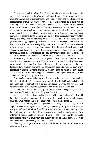It is all very well to allege that 'thoroughbreds' are born to have not only precedence, but a monopoly of power and ease. I want, then, every one to be raised to the rank of a 'thoroughbred;' and I am perfectly satisfied this could be accomplished within the space of two or three generations by a modicum of teaching, health, and comfort, evenly distributed. Is that a dream or a chimera? I cannot admit as much, so far as France is concerned, when I consider the stupendous stride which our poorer classes have achieved within eighty years; when I see the soil so radically weeded out of any aristocracy, that its dozen more or less genuine dukes are only able to keep their carriage by marrying for money the daughters of usurers; when I see the land in the hands of the peasant; the clergy depending for bread on the tender mercies of the State; the franchise in the cradle of every baby; the nation so well fitted for wholesale reform by the masterly centralisation sprung from its own ethnical temper and shaped by the Convention. How little what remains to be done looks by the side of what has been already achieved! and still how indispensable to do it at once, if the entire fabric is not to collapse, and the experiment to end in failure.

Considering that not one single progress has ever been attained in France except as the consequence of a revolution; considering that the ruling class have never granted the most harmless of improvements except on compulsion, we Parisians have made up our mind that compulsion should be resorted to at every opportunity. This is the work, this is the positive duty, to which we have made the sacrifice of our individual happiness, freedom, and life; and now the hour has come for drinking the cup to the dregs.

I am made of the earthly clay, and I cannot without a regret bid farewell to life. Still, with that regret is mixed up a kind of intimate delight at the bottom of my inner self, something like a diffuse exultation at dying for my idol, and bestowing upon it the greatest evidence of love within the reach of man.

A fine merit, indeed, considering that the sacrifice is compulsory! Would it not seem as if I had surrendered of my own free will?

Of course I did not. But none the less the odd feeling is discernible. I would fain have boasted yesterday that I was the least fanatical of beings. Undoubtedly, however, this is a pennyweight of what makes fanatics.

Five o'clock. Nothing yet. Is it possible that I may have been forgotten? I ought to have been dispatched an hour ago, according to my estimate. Mine is really an awkward situation. I feel like a guest who has mistaken the right day for a dinner, and who falls in unexpectedly amongst a family party. How willingly I would laugh at myself, if only I had some one to exchange impressions with! Unfortunately, the humorous side of things tragical is quite lost in solitude, and their dryness only remains.

Upon my word, je m'ennuie, as I should do half an hour in advance in a railway waiting-room.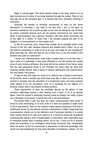Night is coming again. The silent warder brings in the lamp, which is to be kept burning here to allow of my being watched through the wicket. They do not burn gas yet at the Versailles gaol. It is deemed bad form, probably—smelling of revolution.

Although the warder is certainly accustomed to wait on the worst description of criminals, I can read in his face that I am, in his eyes, an atrocious malefactor. He is polite enough—as far even as taking his cap off when he enters—evidently because such are his precise instructions; but under that show of self-possession lies a genuine repulsion, like that which overcomes one at the sight of a reptile. To think that I am actually playing the part of an alligator or a boa-constrictor to that simple soul!

It will be to-morrow, then, unless they arraign me at midnight before some Council of the Ten, with Venetian lanterns and masked sbirri. Shall I lie on my bed without undressing, in order to be up at once, and ready for any emergency? Most assuredly not. They will wait for me in their turn. Is not the toilette of the doomed man quite an institution?

I fancy 'our contemporaries' must make a pretty hash of us by this time. Ihad a taste of it yesterday. It was quite affecting to one who knows the market price of such virtuous effusions. But what will be the verdict of the future—what will the next generation think of us? Probably the truth,—that we were wellmeaning upright fellows, with a sense of modern aspirations and requirements, but very green—very green.

It may be they will make too much of us. History has a liking to precursors. At all events, there is hardly any doubt that some day or other our bones will be carried in triumph over the shoulders of a proletarian army, and most properly made capital of by our successors. Just it!—a candidate for the dignity of a political corpse; that is my present enviable position.

These apartments of mine are decidedly gloomy by the glitter of that primitive night-lamp—merely a wick floating over a layer of oil in an ignoble glass. I had not noticed it yesterday evening, being too sleepy; but really it gives one a foretaste of the grave, of which this cell is the ante-chamber.

The grave! What a pity one does not retain consciousness when there! It would be most interesting, to be sure, even if it were not possible to make notes of one's impressions. That no live creature really expects anything of the kind is sufficiently shown by the general aversion entertained to death. Supposing that consummation should not be the definitive end of personal identity, it is pretty clear nobody would be so silly as to object to it; it would be commonly considered something like taking a dose of laughing-gas or chloroform, with reasonable hope of resuming oneself after a passing swoon. As for me, I could not for a moment admit the possibility of an intelligent being firmly convinced that, immediately after the event, he will be consciously in possession of absolute knowledge, who would not long impatiently for that most desirable of initiations. Indeed, I do not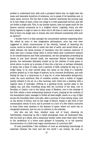profess to understand how, with such a prospect before him, he might bear the mean and miserable humdrum of existence, not to speak of its hardships and, in many cases, horrors. But the fact is that, however wearisome the journey may be in this valley of tears, every one clings to it with passionate fervour, and will not forfeit a single mile. This, in my humble opinion, does not speak much for the famous omnium consensus as to a brighter future. Logically, every one who firmly expects it ought to have no other end in life than to merit and to attain it. Now is there one single man or woman who ever behaved consistently with such an opinion?

I wonder how it is that amongst the innumerable systems respecting afterlife, edited by more or less imaginative philosophers, none has ever been suggested in which consciousness of the identity, instead of deserting the corpse, would be buried with it under two feet of earth, and would follow, as a silent witness, the whole process of resorption into the common reservoir of what was once a human being—when it would watch each constitutive element in its transformations and fresh associations, see the phosphates proceeding by shoals to join their beloved chalk, the ammonias filtered through friendly gravels, the carbonates delicately sucked up by the radicles of some grass or shrub above, to grow up in process of time into a big tree, or perhaps ultimately to decay into a bank of coals; such a particle of flesh creeping its way up to a bright daisy, to be next carried away into space on the wing of a butterfly; another grazed up, in the shape of pasture, by an innocent Southdown, and next finding its way to a chop-house or, it may be, to some fashionable dining-room, under the more ambitious title of cotelette soubise; such a bubble of oxygen quietly exhaled in the air on a fine morning, next rolled into a dewdrop with a vagrant atom of hydrogen, drifting to a garbling brook, carried away to the mighty sea, and then travelling along with the currents of the deep, now to Brooklyn or Ceylon, now to the balmy coast of Madeira, now to the icebergs of the Pole; whilst a more enterprising molecule of azot, jumping at the confines of the atmospheric layer, manages to forfeit all dead weight, starts on a ray of light across the boundless ether, and calls, after a journey of some twenty years, now on the shores of Sirius, now on the rings of Saturn, finally to get tired of this commonplace nebula of ours, and to proceed on a tour of a few million centuries to some fresh solar systems in the abysses of space, where our earth has no recognised existence, and our sun no mention in the calendar.

And who can tell, then, whether some cell of brain, retaining its individuality, treasuring up like a faded photograph some old hackneyed idea, will not start as a whole, find a temporary shelter under some other skull—bring to the cerebellum of a horse some glimpse of humanity, or to the anterior circumvolution of a child some vague reminiscence of a previous life?

Of such possibilities I feel confident—of such an everlasting interchange of materials between the inert and the live world I am certain. By such an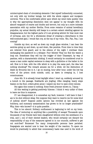uninterrupted chain of circulating elements I feel myself indissolubly connected, not only with my brother beings, but with the whole organic and inorganic universe. This is the comfortable pillow upon which my mind rests quietly—this is why the approaching dissolution does not appear to my thought with its absurd vanguard of scares and doubts and terrors, but only as a more intimate association with my mother Hertha. From some remains of animal hereditary prejudice, my actual identity still keeps to a certain extent rebelling against its disappearance; but the highest parts of it are growing athirst for that most real of nirvanas, and, but for a wholesome dread of creating a disturbance in this well-conducted gaol, I would fain cry, at the top of my voice, 'Hio, Pan, Pan, I am coming!'

Outside my door, as well as down my rough glass window, I can hear the sentries going up and down, up and down, like pendula. From time to time they are relieved from guard, and in the silence of the night I overhear them exchanging the password in a whisper. Poor fellows! They too find the watch a long one. Sometimes they will try the trigger of their Chassepot, by way of pastime, with a characteristic clicking. It would certainly be considered cruel to cause a man under capital sentence to sleep with a guillotine or the halter in his cell. How is it that, with the rifle which is to play the same part, the idea has nothing shocking? The remark amuses me for a while. All the distinction of death by fire-arms lies in it. I go on musing, hour after hour, under the low big voice of the prison clock outside, until, as dawn is creeping in, I lose consciousness.

June 4th. It is already broad daylight when I start up, suddenly aroused by a tumult in the passage. Scabbards are jingling, rifles clanging, heavy steps beaten on the floor, orders given aloud. I expect my door to open every minute.

But again this comes to nothing. Some fresh prisoner shown in, I fancy. '

All this waiting is getting positively fulsome. I think it very unfair of them to leave me thus in suspense.

If I am disappointed, it is somewhat my fault, however. I will have it that I am to be shot without delay. But suppose they want to reserve me for some kind of judicial show? Suppose public opinion has revolted at last against the butchery, and summary assassination has grown to be no longer practicable? Why, then—who knows?—it is quite possible. . . .

This is too absurd. Solitary confinement is beginning to tell on my brain. The idea of venturing on anything like a possibility of escape! Thousands upon thousands of my friends have been slaughtered without even the semblance of a trial, and I, one of their elected leaders, who would certainly not discard the responsibility of any of the measures agreed to in our councils, suffered to get out scot-free? Nonsense! Too many irresponsible persons have perished. Scapegoats are wanted now to bear the weight of the reaction. To spare me would be practically to admit that unnecessary haste was used in the work of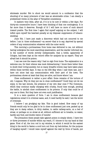wholesale murder. Not to shoot me would amount to a confession that the shooting of so many prisoners of war was an abominable crime. I am clearly a predestined victim on the altar of Versaillist consistency.

It matters very little, after all, if it is to be now or within a few days. For thirty-six consecutive hours I have been thinking of that one contingency. It is far more than it deserves. Enough of it! I will have no more of such absurd inward prattle. The first time I again find myself arguing on the subject, I will inflict upon myself the heaviest penalty at my disposal—suppression of tobaccosmoking.

June 5th. I have just made a discovery which had not occurred to me before. I am in 'close confinement'—au secret—that is to say, deprived by special orders of any communication whatever with the outer world.

This morning a portmanteau from home was delivered to me, not without having undergone the most searching examination, and the warder informed me, in the number of words strictly indispensable, that a bottle, apparently of Cologne, had been kept at the record office for analysis by an expert. They are afraid lest it should be poison.

I can see now the reason why I had no sign from home. The explanation is a welcome one, for their silence was most disheartening. I know them better than to doubt their loving anxiety; but so many dreadful events may have taken place within those terrible days. It was on the 23d May when I saw them last, and I have not since had any communication with their part of the town. The portmanteau shows at least that they are alive, and know where I am.

Close confinement is rather a poor affair. Some remains of the torture of old, I suppose. Why do they put me in close confinement? Could they not let me enjoy, to the last minute, the presence of my own dear ones P The Commune, which they continue madly charging with cruelty, found time enough, pending the battle, to abolish close confinement in its prisons. If only that could be of any use to them. But they have not even such justification.

It is a mere question of form. I am in close confinement because gaol regulations entail it in criminal cases, and, it need hardly be said, I am the worst of criminals.

I believe I am grudging my fate. This is good indeed. How many of my friends would only be too glad to be in close confinement just now, packed up as they are in damp cellars, in dirty stables, in cattle railway-carts, on a bed of straw, or perhaps on no straw at all, without sufficient air to breathe, no water, hardly any food, and double ration of insults!

The precaution these people take against poison is simply idiotic. I have two or three processes of suicide within my reach, if I choose to try my hand at that game. First of all, the iron rod in my window, to which it would be the easiest thing in the world to fasten a cord torn out from my bed-clothes, for the purpose of hanging myself. I would raise myself against the wall by force of hands, put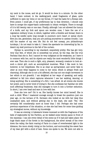my neck in the noose, and let go. It would be done in a minute. On the other hand, I have noticed, in the walking-yard, small fragments of glass, quite sufficient to open my veins or cut my throat, if I had the taste for a Roman exit. Even poison I could get, if my preferences lay in that direction. I should only have to scrape the copper-basin underneath to obtain verdigris. There is enough of it to kill twenty rats or one man. Finally, although I am not allowed the luxury of a knife, and my fork and spoon are wooden ones, I have the use of a regulation military truss, in which, together with a thimble and thread, there is a long big needle—quite long enough to puncture one's heart or spinal chord. Now you see, gentlemen, that you are putting yourselves to useless trouble. I am still the master of my own life. But do not feel uneasy, you philanthropic turnkeys, I do not want to take it. I deem the spectacle too interesting by far, to desert my stall previous to the fall of the curtain.

Olympe is, according to my standard, exquisitely pretty. She has got very, very tiny feet, of which she is somewhat too proud, by the way, like the true Parisian that she is. But I cannot be very indignant at the weakness, as I have it in common with her, and its objects are really the most wonderful little things I ever saw. Then she is such a light, airy, pleasant, womanly creature to look at such a clever girl, such an accomplished musician. What I like most in her, however, is her limpidness. She is as clear as spring-water, and never fails to utter at once what happens to come to her mind, which is always fresh and charming. Although she is not a bit affected, she has not one single movement in her which is not graceful. I am delighted at her ways of speaking, and sadly addicted to fall into silent raptures whenever I see her walking, dancing, or doing anything. She is something of a flirt, I am afraid. At all events she knows her power, and is never tired of trying it. But she confesses her familiar sin with such affecting frankness, that she manages to turn it into a further seduction. In short, I am over head and ears in love with her.

Does she love me? Chi lo sa. She hardly knows her mind herself. She is such a child. When I mastered courage enough to break the question—just one year ago, on the terrace of St. Germain—she looked at me with her deep blue unabashed eyes, and without getting shy in the least, she said: 'Yes.' She certainly felt considerably more at home than I did. Perhaps she had some previous experience of the situation, or else she had been for some time guiding my strategical moves, without my knowledge.

It was an evening. A lukewarm breeze incensed us with the fragrance of the beds of mignonette by the Pavilion, as we walked some twenty paces in front of the mammas. I can see every detail of the scene as if it had just taken place: the huge black mass of the forest in the background, the silver streak of the river down the valley, the faint roaring of Paris in a haze of reverberated light in the distance, the moon slowly rising on the horizon, and surrounding the sweet face of my dear girl with a kind of halo. Some one spoke to me. We were not able to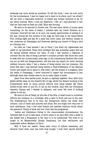exchange any more words by ourselves. To tell the truth, I was not over sorry for the circumstance. I was too happy not to want to be silent, and I am afraid I did not utter a reasonable sentence, or indeed any further sentence at all, for the whole evening. When I took my departure, I felt, as I said good-bye to her, that her hand was as fresh as a fish. Mine was burning.

We were to be married in October last. The war came, which of course upset everything. On the news of Sedan, I enlisted with my friend Silvestre as a volunteer. Good-will we had, to be sure, but scanty opportunities of putting it to the test. During the five months of the siege we were kept in the Aubervilliers Fort, drilling night and day for a sally that never came, and without, except on two occasions—at Champigny and Buzenval—getting any chance of firing a shot at a German line.

As often as I was allowed I ran to Paris; I put down my regimentals and called on my betrothed. These were holidays! She was somewhat angry with me for having enlisted without her leave. If only I had entered a regiment of colonels! But the idea of being a private—a common private—like those who used to walk with her nursery-maid, years ago, in the Luxembourg Gardens! She could not put up with the disappointment, and this was my reason for never donning military honours when I had a chance of being shown into her presence. She knew well that I had declined being elected a Chief-of-Battalion in the National Guard, and teased me so about it, that when I got the stripes of a sergeant, after the battle of Champigny, I never ventured to impart the circumstance to her, although these dear stripes were to me no mean object of pride.

Apart from that special point, we got on capitally together. Hour after hour glided swiftly away, by the cheerful fire of logs, whilst the distant booming of the bombardment went on every minute without even being heeded. My future mother-in-law went to and fro, or sat by the window, busy with her Penelopian tapestry. Olympe and I chatted in whispers, and never felt tired of building castles in the air.

We were to live at Passy, by the side of the Bois. A small house to ourselves, without the nuisance of a concierge, with a lawn in front and one in the rear. The drawing-room was to be blue, the dining-room yellow, the study dark crimson. Lots of books and pictures and china. Not one single bore was ever to have admittance. Only a few tried friends and selected relations would obtain the password. Plenty of work and love. Such was the programme.

'Ladies and Gentlemen,—Owing to the unaccountable circumstances, the intended idyll is not to take place. A short scene in an open field, with a stake in the middle and a firing-party in the rear, is to be substituted. The bride is no longer to be Mademoiselle Olympe Desarnaux, but that well-known and respectable widow, Madame La Terre.'

Well, it does not matter. These were hours of infinite sweetness, and whoever knew them once has lived long enough. I took their sacred warmth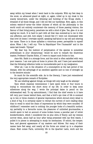away within my breast when I went back to the outposts. With my feet deep in the snow, on advanced guard at night, or, again, rolled up in my cloak in the scanty kennel-tent, under the whizzing and bursting of the Krupp shells, I dreamed of all those things, and I did not feel our hardships. Now, again, in this solemn watch-of—arms—the bitter dulness of which all the philosophy in the world could not entirely counteract—the memory of those passing visions, the flavour of that living poetry, penetrate me with a kind of glee. Yes, glee-it is not saying too much. It is hard to part with all that was summed-up to me in that one affection; and still, how empty I should feel if I were not intoxicated with that love! At times I overtake myself, speaking half-aloud in my cell and uttering her name. There is in those syllables a victorious power, perceptible to myself alone. When I die, I will cry: 'Vive la République! Vive l'humanité!' and in the same last breath: 'Olympe!'

'My dear boy, the instinct of perpetuation of the species is somewhat predominant in your idiosyncrasy,' would be sure to remark the illustrious master, Professor Charles Robin, if I were to impart such frolics to him.

Jane 6th. Habit is a strange force, and the mind is often satisfied with very poor reasons. I am now quite at home in prison life, and I have just ascertained that the following reflection holds no inconsiderable part in my resignation:

'After all, I am in the situation of a consumptive at the last period of his disease, with the advantage of an excellent appetite and no loss of strength up to the decisive minute.'

So much for the scientific side. As to the literary, I have just remembered the very appropriate remark of Euripides:

'No use rebelling against things, as things will only laugh at the attempt.'

Upon which classical reminiscence I have spent three or four hours in trying to reconstitute the short story of my life. In order to keep some milestones along the way, I wrote the principal dates in pencil on the whitewashed wall. To my astonishment, I find that the chief events in it have left very poor traces behind them, and that a bird's eye view of life is summed up in two or three clusters of general impressions which shroud every detail in a kind of fog. It is certainly easier to retract the current of one's leading ideas than to recall to mind the chain of impressions by which they were moulded. Of childhood I remember next to nothing: the younger looks of a beautiful mother; my partiality to a favourite nurse; the pleasures of unlimited gourmandise; a month spent in bed on account of some broken bones; a peculiar pair of velvet knickerbockers, which I considered the ne plus ultra of finery; and my intense sorrow when, about half an hour after being presented with my first watch, I pulled it to pieces in attempting to study its mechanism. Of school, the temper, face, and general appearance of my masters and fellows. But many of their names have fled away, and nearly all the forms are mixed up in a shapeless chaos. Next comes Paris, university life in the Quartier Latin, work and the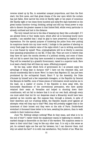reverse mixed up by fits, in somewhat unequal proportions, and then the first start, the first cares, and that great drama of the war upon which the curtain has just fallen. How narrow the circle is! Hardly eight or ten years of conscious life! Hardly eight or ten times three hundred and sixty-five days bestowed on the great human function—loving, thinking, acting! and still my visual power is only able to discern the greater masses in that limited field, whilst every particular is already confused and lost in the distance.

The very remark led me to the idea of keeping my diary like a schoolgirl. If I am allowed three or four weeks more, which after all is becoming hourly more possible, I am satisfied that I shall be glad to have preserved a diagram of my impressions. For the special purpose of hindering the police from ever putting its suspicious hands into my inner world, I indulge in the pastime of altering on every fresh page the relative value of the signs which I use in writing, according to a rule framed by myself. Thus, cryptographists will be at liberty to exercise their guessing propensities on my Ms. if they like. They are sure to believe that they have hit upon the monita secreta of a political society, and some of them will not fail to assert that they have succeeded in translating the awful charter. They will be rewarded by a grateful Government, raised to a superior rank. Here is at least a family that will bless my name. Affecting prospect!

By the way, under which form of government do I at present enjoy the advantage of being kept in durance vile? I have not the remotest idea, and should considerably like to know. Were I to learn that Napoleon III. has just been proclaimed by the ex-Imperial Guard, Henri V. by the Assembly, the Duke d'Aumale by himself and a few respectable dowagers, or the Republic by General the Marquis de Galiffet, none of these pieces of information would surprise me in the least. As a matter of course, if the Republic is done away with, the honourable Republicans of the conventional persuasion, who have quietly retained their seats at Versailles and helped in shooting down their constituents, will not fail to declare that it is all our own fault; although every one must admit that but for our desperate stand a Monarchy would have been patched up two months ago. But suppose that, through a miracle, in spite of their desertion and our crushing defeat, the Republic stands proof against all attempts: what will they say to that? Well, they will probably suggest that in the innermost of their honest soul they were on the side of Paris. Double-faced wretches! A thousand times better to be here, awaiting the platoon, than to walk outside in their traitorous shoes.

June 7th. Nothing—always nothing! What do they mean, and what is to be the end of this? I rather think the sanguinary mania is beginning to subside. A marked change is discernible on the face of the warders. The suspicion seems to dawn in their mind that I may be like any other man. It is only a dim sense as yet; its outward signs are few and far between; but I can discover them. And why not admit the fact?—it is with real satisfaction. Very foolish of me. What the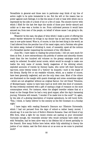Versaillists in general—and those men in particular—may think of my line of action ought to be quite immaterial to me. But the will or the reason has no power against such feelings; it is like the sense of cold or heat with which one is impressed by the side of a block of ice or a fire of coals. The sincere horror with which I filled for the last few days the minds of those poor devils—absurd and unfair as it was—was a burden to me. From cultivated persons it would have amused me; from men of the people, on behalf of whose cause I am going to die, it hurt me.

Whatever be the case, the glass of wine which I make a point of offering the senior warder whenever he brings in my dinner has at last been accepted. The man is now quite tamed. Wine is, of course, to him the best thing in the world, as I had inferred from the peculiar hue of his nasal organ; and a Parisian who gives his ration away, instead of drinking it, must, of necessity, upset all the notions of a Versaillist warder respecting the movement of the 18th March.

June 8th. I have taken to reading the prison-books. I did not care much for them at first. A more extraordinary olla podrida of useless and absurdly chosen trash than the two hundred odd volumes on the greasy catalogue could not easily be collected. So-called moral novels, which would be enough to make one loathe the very name of morals; family magazines of the whining school; exploded accounts of travels by literary hacks, who never left their favourite tap-room; some twenty tomes of a 'history' by Anquetil,—such is the staple of the library. Hardly five or six readable volumes, which, as a matter of course, have been generally neglected, and are the only clean ones. Most of the others are illustrated on the margin with quaint drawings and notes—sometimes signed —which are not altogether without an original flavour. Our old friend 'Volumine, of Montpernasse,' seems to have been hard at work with this kind of comment. He was evidently endowed with a gift of casting a tinge of romance on the most commonplace event. For instance, when the alleged traveller relates that at a kraal on the Orange River he had a very good supper, after the day's harassing journey, Volumine will remark, 'I wonder if he made love to the cook?' Or, again, by the side of a glowing description of tropical splendours, he will burst forth: 'This, I think, is vastly inferior to the scenery at the Bel Constant on a Sunday night.'

I have begun with reading Bossuet's Discours sur l'Histoire Universelle, which I had not perused from the days of school—a rather heavy morsel, I should say. It is now the turn of Rollin's Histoire Romaine. Dear old friend of my fifth form, what a light for me recent events are casting on your chronicles! Curiously enough, the venerable scholar—who would certainly have sided now with Versailles, had be been alive—was in his lifetime full of secret partiality to the Gracchi. How many Rollins here below, while fully admitting in theory the justice of our claims, cast the first stone at us as soon as we come to practical work?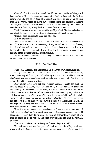June 9th. The first event in my cellular life. As I went to the walking-yard I just caught a glimpse between two doors of a familiar face, with large deep brown eyes, like the object-glass of a photograph. There is but a pair of such eyes in the world, which belong to my esteemed friend and colleague, Gustave Courbet, the illustrious painter. Poor fellow! He, too, has fallen by the hands of a merciless foe. I am very sorry, for his sake and for the sake of art.

The indispensable warder has seen the good-bye which I hasten to beckon to my friend. He at once remarks, with a dubious accent, irresistibly comical:

'This one does not seem to be so bad, after all.'

Is it not provoking?

'Well, the countenance of clever criminals is very apt to lead observers into error,' I answer the man, quite seriously. 'I may as well tell you, in confidence, that during the civil war the miscreant used to indulge every morning in a human steak for his breakfast. It was thus that he managed to acquire the majestic extra flesh for which he is conspicuous.'

'Again an illusion the less!' seems to say the distracted face of the man, as he locks me in the enclosure.

#### III. The Pale-Blue Ribbon

June 12th. Hurrah! I live, I breathe, I am mad with joy. Olympe loves me.

To-day some linen from home was delivered to me. I took a handkerchief, when something fell from it, which I picked up at once. It was a ribbon-bow—the simplest of pale-blue ribbon bows, such as girls wear in their hair. Her favourite colour. She told me so many a time.

Dear valiant soul! How did she summon courage enough for such an unusual step? How, having once dreamed of it, did she manage to bring the undertaking to a successful issue? Thus, it is true! There are no walls and no bolted doors for love! She wanted me to know that she stands by me; and at once —little aware as she is of the ways of the world—she managed to baffle the whole array of état de siége and guards and prison regulations. The idea intoxicates me—distracts me. I actually overtake myself in the act of laughing and leaping in my cage. This is very bad for a political man and an apostle of social reform. Fortunately there is no one to watch me.

When the warder came in at breakfast-time I was almost on the point of shaking hands with him, for want of imparting my happiness to some one. I said something—I really don't know what—in such an extraordinary strain of joy, that he looked at me in wonder, and went away shaking his head. He thought, probably,

'One more on whose brain solitary confinement begins to tell!'

You fool, don't you see that your cell and your bundle of keys and your whole gaol, with governor, recorder, warders, and sentries,—don't you see that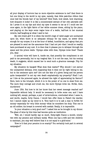all your display of horrors has no more objective existence to me? that there is but one thing in the world to my eyes, namely, that little pale-blue ribbon that once tied the blonde hair of my beloved? How fresh, how sweet, how charming, how eloquent it looks! It is like a concentrated extract of her own adorable self. As I press it on my lips and shut my eyes it seems to me as if I could see her once again, in the light fabric of her white summer dress, sitting by the piano, and playing on the keys some vague tune of a waltz, half-lost in her musical reverie, half-laughing at what I said to her.

My own brave girl! It is when the world's dogs of rabid anger are unchained upon me, when there is no adequate obloquy for my name, no sewer dirty enough for my corpse; it is at the hour of defeat, humiliation, and agony that you are pleased to send me the assurance that I had not yet—that I would so readily have purchased at any cost. It is then that it pleases you to whisper through the space and the prison walls: 'Olympe sides with thee, Olympe loves thee!' Thank you, dear.

A cynical voice will have it, inside me, that possibly the compliment is not paid to me personally, but to my tragical fate. It is not the man, but his coming death, it suggests, which caused her to send such a gracious message. Pity for my situation

My situation be hanged! What does that matter? Why should I not savour the unexpected delicacy, even supposing that it does not by right belong to me, but to the sentence upon me? Are not the fate of a given being and his person quite inseparable? Is not my own death emphatically my property? Shall I not, as I bite at the poisoned apple, be allowed the right of appreciating its flavour? Here, here is the triumph, which it is in the power of no one to steal from me. The more they outrage and crush me, the more Olympe loves me. Strike, then, murderers!

June 13th. But how to let her know that her sweet message reached me? Impossible without help. It would be necessary to bribe some one; and I have nothing left, except, perhaps, a pair of wrist-buttons, overlooked when I came in, and worth, maybe, forty francs. I would fain offer them to Fabert the warder, but I cannot make up my mind to it. Very hard it is to ask a man to forfeit for money—especially for very little money—what he considers his duty. This one is an old soldier; his breast is covered with medals. Really, it is impossible.

'Is your situation a very good one?' I asked him as he brought in my dinner. The glass of wine by this time had become quite an institution.

'Well, sir, I would hardly say so much. Sixty-eight francs a month; ninetytwo with my pension and military medal. When one has a wife and two children to maintain, you may well believe that it is not equal to a gold-mine.'

'How is it that your pension is so scanty? You certainly took part in several campaigns?'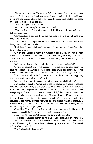'Eleven campaigns, sir. Thrice wounded; four honourable mentions. I was proposed for the cross; and last year again I was led to hope that I should have it; but the war came, and good-bye to my cross. So many were wanted that there were none left for old folks like me.'

A flash of inspiration strikes me.

'Would you be so very glad to have that cross?'

'Of course I would. But what is the use of thinking of it? I know well that it is lost beyond hope.'

'Perhaps. Hem! If you like, I can give you a letter for a friend of mine, who may obtain it for you.'

Fabert looks exceedingly serious all at once. He turns his laced cap in his horny hands, and after a while:

'That depends upon what would be required from me in exchange,' says he, in a sepulchral tone.

'O, very little indeed; nothing, if you think it better. I will give you a letter which I am satisfied will do you good; and you, in your turn, may find it convenient to take from me an open note, with only two words on it, to its address.'

'Well, two words are quite enough, they say, to have a man hanged.'

'It will be nothing that could possibly be detrimental to you; simply an acknowledgment to a lady for a bow of blue ribbon which she sent to me. A red ribbon against a blue one. There is nothing political in the bargain, you can see.'

Fabert turns round' to the door; ascertains that there is no one to spy him; then he winks to me, and says, ' All right.'

'Well, in half-an-hour, if you come round, you shall have both letters.'

I am perfectly satisfied Valras will do me the favour I am about to request from him, and will actively try to obtain justice on behalf of the veteran soldier. He was my chum for years, and once we had but one room to ourselves, in which everything, work and pleasure, was in common. Still, I do not reckon so much on our old friendship—knowing well how the frictions of public life are apt to tear that stuff out—as on his peculiar temper. In spite of his robes of a maitre des requétes at the Council of State, Valras is, and will always remain, a humourist. I would readily bet that he will think obtaining the cross for a turnkey at the request of a prisoner a capital joke.

June 14th. Fabert has vanished. Another man does duty in his stead. I suppose he has obtained leave of absence and proceeded to Paris.

June 15th. This morning at dawn, I was quite awake when the

door of my cell turned silently on its hinges, and I beheld Fabert by my side.

'Well, sir,' he began at once, 'I have seen M. Valras, and delivered your letter to him. He was very kind to me, bade me leave my papers to him, and promised to look after my situation.'

'And Mademoiselle Desarnaux?'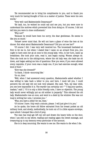'He recommended me to bring his compliments to you, and to thank you very much for having thought of him on a matter of justice. These were his own words.'

'Very well—and Mademoiselle Desarnaux?'

'He said, too, he wished he could call and see you, but you were sure to understand the motives which prevented him from doing so. Of course, I did not tell him you were in close confinement.'

'Why not?'

'Because he would have been too sorry, the dear gentleman. He seems to like you so much.'

'Pshaw! never mind that. He will not have a glass of wine the less at his dinner. But what about Mademoiselle Desarnaux? Did you not see her?'

'Of course I did. I was very well received too. The housemaid hesitated at first to let me in, but when I stated that I came on an errand from you, you ought to have seen her go at once to the young lady,—who, in her turn, came up breathless. She took your note, read it, and began crying. Women always do. Then she took me to the sitting-room, where the old lady was; she bade me sit down, and began asking me lots of questions: How you were; if you were allowed every requisite, if your room was a large one, if you had exercise enough; what kind of food—'

'How was she dressed?'

'In black, I think—mourning like.'

'Go on, then.'

'Well, when I had answered every question, Mademoiselle asked whether I was willing to take back a letter to you; and here, I must tell you, I could perceive the old lady did not look very pleased. She said, "But, my dear child, you see how impossible it is. The warder can certainly not—" "I beg your pardon, madam," said I, "if it is only a little friendly note, I have no objection. The young lady would never willingly put an old soldier in jeopardy." This silenced the old lady. Mademoiselle rose at once, and went to a desk by the window. She was not long in writing her note, I promise you—'

'Why, you have a letter for me, then.'

'Of course I have. Only wait a minute, please. I will just give it to you.'

As he spoke, the brave old fellow extracted from his breast pocket an old military book, and slowly, methodically, he took out of it a little square envelope, upon which I stooped like a bird of prey.

The man has long ago left my cell and drawn the heavy bolts on the door, when I am still on my elbow, reading and reading again the sweet message, and treasuring up in my memory every particular of the account.

She is in deep mourning. She wants to see me. She wants to die when I die.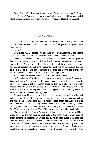Dear, dear child! How was it that my sad fortune came across the bright thread of yours? You were not born to such storms; you ought to have sailed along a smooth career with a smile on your rosy lips. Be blessed! Be blessed!

#### IV. A Magistrate.

I AM to be tried by Military Commissioners. This morning, about ten o'clock, Fabert entered, and said: ' They come to fetch you for the preliminary examination.'

At last!

Four Paris guards, headed by a brigadier, were waiting for me at the Record Office. The usual forms of exit once gone through, here I am out of doors.

No city in the world is quieter than Versailles of a morning, with its general look of emptiness, as if it were still waiting for bygone pageants, gilt carriages, and retinues. But six weeks in solitary confinement have inured me to the stillness of a prison-cell, and what strikes the living man as an image of death is to me a feast of life. The sun is already more than half-way to the zenith. Far away, the avenues stretch out, fan-like, under the huge bower

of the two-hundred-years-old elms. Every individual tree is as '

well combed as a big wig, and looks down in stately disgust at the rampant iconoclast below. A child trundles his hoop; a soldier mounts guard; a housewife sweeps her steps; a girl in summer dress, as light as a shadow, darts a sly glance under the brim of her parasol. All those things of the street which one is wont to elbow unawares impress me as a new spectacle, and the very sense of novelty gives me the measure of my case.

To me the world came to a stop thirty-eight days ago, like a clock which had not been wound up. Outside it has been going on its customary course, and on the walls I can read the time. Slips of white printed paper, remnants of official proclamations, are still throbbing there under the kiss of the breeze, by the side of a big brand-new bill in red and white, advertising a great novel in six parts: THE MYSTERIES OF THE HÔTEL DE VILLE. They have put us in feuilletons already.

Now we reach the Place d'Armes, which has been turned into an artillery park. As far as the eye sees, on each side of the road, guns of every size, of every pattern, in compact array, are raising their open muzzles against the dark-blue heaven. The bright seven-pounder, as clean as a new pin, fresh from the hands of Dorian, dazzles its contemptuous rays on its neighbour, the mountain howitzer. Old cast-iron naval cannons from Brest or Lorient are puzzled at finding themselves in the same row with green-bronze culverins that,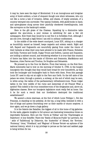it may be, have seen the days of Montmirail. It is an incongruous and irregular army of dumb soldiers, a host of eloquent though now silent witnesses, who cry out like a curse a tale of invasion, defeat, and shame, of empty arsenals, of a country betrayed into surrender. Two typical Cookists, with guide-books in hand, and opera-glasses slung across their painfully checkered travelling-suits, look like surveyors on the bankrupt's estate.

Here is the gilt grate of the Chateau. Squatting by a diminutive table against the spur-stone, a poor woman is exhibiting for sale a few old newspapers. How fresh they would be to me! But it is forbidden fruit. Although I am sub Jove, through a legal fiction I am still in solitary confinement.

In the middle of the wide desert courtyard, Louis XIV., sitting on a charger as bountifully maned as himself, keeps majestic and solemn watch. Right and left, Bayard and Duguesclin are mournfully gazing from under the vizors of their helmets at what their sons have allowed to be made with France. Richelieu and Sully, Turenne and Condé, Dugay Trouin and Suflren, Lannes and Duquesne, are holding a cabinet council, and wondering whether it is true that this country of theirs has fallen into the hands of Olliviers and Gramonts, MacMahons and Bazaines, Jules Favres and Trochus, De Broglies and Belcastels.

We proceed up to the Cour de Marbre. From that balcony, on the first floor, Marie Antoinette had to bow on the morning of October 6, 1789, to the hungry insurgents who thought that they would have bread for ever henceforth, as they took the boulanger and boulangère back to Paris with them. From this passage Louis XV. used to slip out at night to the Parc aux Cerfs. On the left aisle of the palace we enter, through a postern, a subway, at the end of which may be seen, in white array, the tables of the parliamentary refreshment-room. Those vulgar tables in the very middle of the ruins and memorials of old France! What a symbol! This indeed is the true committee-room of the dirigeantes and, above all, digérantes classes. Here our bourgeois legislators must really feel at home. Can it be for such a result that our forefathers destroyed the traditional establishment?

We ascend a stone staircase, at the foot of which Louis Philippe I., Roi des Francais, is standing on his pedestal. At the top, a long lobby, hemmed in with a line of kings and queens flourishing over us their marble or stucco sceptres. A door again, and we go down a huge gallery.

It is the Galerie des Batailles, the biggest of all in this home of big galleries. On the walls, gigantic knights in full armour are bestowing tremendous blows on improbable Saracens. Here are the 'Clovis at Tolbiac' and the 'Charlemagne at Paderborn' of Ary Scheffer. There the 'Battle of Mons-en-Puelle' by Lariviere, the ' attle of Taillebourg' by Delacroix, the 'Austerlitz' of Gérard, the 'Bovines,' 'Fontenoy,' 'Jena,' 'Friedland,' and 'Wagram' of Horace Vernet—an epitome of the national history, which it is my privilege to peruse as the last and saddest page is being written for me.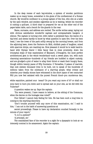In the deep recess of each bay-window, a system of wooden partitions makes up so many boxes, somewhat in the guise of the confessional of a Roman church. My would-be confessor is a young captain of the line, who sits at a table by the open window, and smokes cigarettes as he is waiting, whilst his recorder is cutting a quill-pen. A third chair is prepared for me at the other end of the paper-laden table, and a bench for the guards in the rear.

Name, surname, and address are recited. The scribe writes away, laying out with obvious satisfaction wonderful capitals and unimpeachable hangers. A silence. The captain is turning over, with rather a perplexed face, the leaves of a big brief, and seems hardly to know by what question to open fire. Over his bent head, I see the trees of the park softly swung by the morning breeze, and from the adjoining lawn, down the Parterre du Midi, childish peals of laughter, mixed with sparrow chirps, are reaching me. How pleasant it would be to walk hand-inhand with Olympe there! I little fancy that in close proximity, down the triumphal steps of that masterpiece of Mansard, L'Orangerie, the most perfect architectural gem in the whole wonderland—such a sweet place, too, with such charming associations—hundreds of my friends are huddled in abject custody, and are grudged a pint of water to allay their thirst or wash their hungry faces, though within twenty paces of fifty fountains. O Versailles, O palace of marvels, that cost sixteen thousand lives to be built, not to speak of the hundreds of millions taken from the substance of a starving people, what crimes and miseries your deadly stones have witnessed in the short space of two centuries! Will you now feel satiated with the purest French blood—you murderous den,

white sepulchre, painted cour tesan? Do you want any more of it? or shall our sons have to burn you down and to spread salt on your site, as we did with the Tuileries?

A question wakes me up. Says the captain:

'You were present, I have reason to believe, at the sitting of the Commune, when the decree on the hostages was voted?'

Poor fellow! I cannot help feeling for him. He has been such a long time in coming to the startling discovery.

'Don't trouble yourself with any more of this examination, sir,' I said to him; ' I am not in the habit of answering questions at

secret proceedings. Please to have my declaration couched formally in the minute of your report.'

'O, is it a system?'

'A principle, sir.'

The scandalised face of the recorder is a sight for a dyspeptic to look at—so intensely comical in its amazement. Again the captain: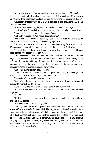'You are wrong, sir, allow me to tell you in your own interest. You ought not to overlook the fact that terrible charges are recorded against you. I have drawn up no fewer than seventeen heads of accusation involving the penalty of death.'

'Seventeen, indeed! There is at least a comfort in the knowledge that I can only be shot once.'

'This is no occasion for joke, sir. I can read over the charges to you.'

'No, thank you. I hate being read to aloud;' and I rise to take my departure.

The recorder drops a word in the captain's ear.

'But will you decline signing your declaration too?'

'Not in the least—provided, however, I can look at it first, and see that no extra blanks are left. . . . All right. Here is my signature.'

I am inclined to think that the captain is not over sorry for the conclusion. What seems to warrant this opinion is the fact that he bursts forth with,

'Sapristi! had I only known it sooner, what a lot of trouble I should have been spared over those papers of yours!'

'I am overwhelmed with confusion at the trouble, captain; but honestly you might have reduced it to a minimum if you had called me sooner to your private tribunal. For thirty-eight days I have been in close confinement, allow me to mention—and, by the way, such confinement ought to be at an end now, considering that examination is done away with.'

'But confrontations may be necessary.'

'Confrontations will share the fate of questions. I beg to inform you, in advance, that I will know no one, and answer not a word.'

The captain has a good-humoured laugh.

'Well, after all, you may be right. It is the true way of being detrimental neither to yourself nor to others.'

'Just so. And may I ask whether the " others" are numerous?'

'You are fifteen members of the Commune on our hands, who will be tried together.'

'Soon?'

'That depends on the course of the preliminary examination. Probably by the end of the month.'

'The sooner the better. Good-bye, sir.'

The brigadier and his four guards, who have been silent witnesses of the whole affair, are simply dumbfounded. My way of going through a preliminary examination by a captain upsets all their notions of hierarchy and discipline. They lead no more, but escort me. I rather believe that if I took it into my head to proceed to the park, and take a constitutional round the Piece d'Eau, instead of going back to prison at once, they would feel in duty bound to follow me. The indulgence, however, is hardly worth the days of arrest which it would be sure to bring upon the poor devils.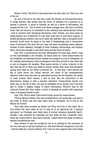Eleven o'clock. The bolts of my prison-door are shut upon me. This is an end of the job.

An end of the job to me, who was, under the Empire, at the practical school of Judge Bernier, who knows that the worst of mistakes for a prisoner is to answer a question. A sense of interest, as well as a sense of self-respect, are tracing out the rule. . But to think of all those unhappy men, still new to political trials, who are about to be submitted to the ordinary and extraordinary torture —how to prevent their betraying themselves, their friends, and their party by being pressed into confession? If only they knew how to hold their tongues, to decline giving any answer, even as to name and address—why, a thousand courtmartials would never be equal to the task of despatching such a tremendous mass of prisoners! But they will not; they will state everything—name, address, number of their battalion, strength of their company, service-days, and military feats—more than enough to seal their doom and the doom of others.

July 15th. A phenomenon has been taking place for some days, which I may as well acknowledge in its triviality. As many times as I have cream-cheese for my breakfast, the aforesaid dainty reaches me wrapped in a bit of newspaper. So far nothing extraordinary. Since newspapers have been printed it was their fate to end in wrappers for eatables. What seems worthy of notice, however, is the fact that the bit of black and white is clearly chosen with some discrimination among such items as are likely to interest me. - In this way I have learned the fall of Jules Favre, the Laluyé law-suit, the result of the complementary elections which have just been an undoubted success for the Republic, the arrest of some friends. Mere chance, I said at first. But the recurrence of the phenomenon stamps it with a peculiar character. Cream-cheese stands now every day on my bill of fare, not only at breakfast but at dinner; and I am thus able to obtain a regular supply of useful information. Whoever may be the unknown friend who thus makes a point of keeping me posted with important news, a thousand thanks to him.

July 17th. This is what I have found to-day round my cream-cheese:

'Tiburce Moray's father, who was arrested about one month ago, and sent to the hulks at Brest, has just been taken back to Versailles. He is now at the Maison de Justice.'

Then they have arrested my father too! They sent him to the hulks. He is now within the same walls as me,—it may be in an adjoining cell. O passion partisane!' as D'Aubigné said. Rabid pack of wolves! infamous dastardly deed! I thought I was prepared for anything, but this beats all that I expected. Such' blows are constructed to stun and to petrify. I stand before the abyss of malice a dazzled thunderstruck man.

Dear mother! It was not enough for her to be waiting for the execution of her son; she was to see her husband too-—the kind devoted companion of her life —carried away by a brutal soldiery! And I did not even suppose that such things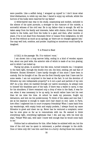were possible. Like a selfish being, I wrapped up myself in I don't know what blind dilettantism, to relish my own fate. I dared to enjoy my solitude, whilst the horrors of the hulks were reserved for my father!

A white-haired man was in his study, unassuming and modest, secluded in the silence of his quiet pursuits, a stranger to the rumours of the outside, a sorrowful witness of the civil war. He is my father—that is enough. He will be taken away from his family and interests, laden with chains, driven from damp vaults to the hulks, and from the hulks to a gaol; and then, after months or years, if he is not dead from rheumatic fever or insane from indignation, he will be set free without as much as an apology, as 'there are no charges against him.' One may well look, combine, and ponder. Anything so monstrous could hardly be imagined.

#### V. A Friend in Need

A CALL in the passage: 'No. 3 to visitors' room.'

I am shown into a long narrow lobby, ending in a kind of wooden square box, about one yard wide, the anterior side of which is made of an iron grating, and in which I am locked up.

Facing my grate, in another box like mine, turned towards me, I recognise in the faint light, through the double iron net, the kind, smiling, yet sad face of Silvestre. Honest Silvestre! I have hardly thought of him since I have been in custody. But he thought of me. His are the first friendly eyes that I have met for some weeks. I am not surprised in the least at the fact. Is not the devotion of Silvestre my own indisputable property? is it not a part and particle of my own life? As a boy, when we rambled through our native mountains, he always took to himself the thankless part of the task. If there was a wallet to carry, it was for his shoulders; if there remained only a drop of wine in the flask, it was for me; when it was necessary to be up early, he would rather have lost his rest than let me miss the time. At school he made my pensums, fought my detractors, and lent me his pocket-money. To think of the cakes and ices that I ate at his expense is enough to make one's hair stand on end. Later, in Paris, how often I neglected him to court trumpery friendship! When I came back from my wanderings, with empty brain and empty pockets, I always found my same Silvestre to greet and cheer me up. Never has he ventured a complaint; never has he even gone so far as to remonstrate with me. He seemed to think everything right, everything legitimate that I did, and say, with his kind sly slips, 'Pshaw! Wild oats, wild oats! I knew well enough that he would come back to me.'

Politics had no attractions for him. After Sedan he enlisted with me; but the time of the civil war he spent in retirement, a perfect stranger to the strife. Once or twice only did I see him—and then in a hurry—during those two months.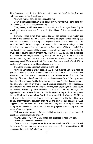Now, however, I am in the ditch; and, of course, his hand is the first one extended to me, as his first phrase is:

'Why did you not come to me? I expected you.'

Brave heart! Most certainly I did not go to you. Why should I have done so? To involve you in the consequences of my deeds?

This, indeed, would have been a fit crowning for the unequal friendship in which you were always the donor, and I the obliged. But let us speak of the present.

Silvestre brings news from home. Mother has broken down under the weight of her anguish. She is ill in bed. Father is no longer in this building, but has been transferred to the camp of Satory—he is a cripple with rheumatism. So much for health. As for me, against all evidence Silvestre wants to hope. If I am to believe him, hatred begins to subside, a fairer sense of the responsibilities and fatalities has succeeded the tremendous reaction of the first few weeks. He wants me to believe that everything will be squared, that all will end in general reconciliation and forgetfulness. Very shortly I can hardly fail to be free: this is his individual opinion. At the most, a short banishment. Meanwhile it is necessary to act. He is not without friends; our families are well related. With a modicum of energy a favourable result may be relied upon.

Such kind illusions I must at once nip in the bud.

'My dear Silvestre, it is not possible that I could allow of any such steps as you refer to being taken. Your friendship dictates them; but a little reflection will show you that they are not consistent with a delicate sense of honour. The honesty of the vanquished man is to accept his defeat openly and frankly, as the honesty of the unlucky gambler is to pay his debt. Once for all, I declare to you and I beg you to inform my friends—that I admit on that point of no compromise, of no attempt whatever. Let me tell you, besides, that anything of the kind would be useless. Power, my dear Silvestre, is another name for bondage; the apparently most absolute dictator is only the arm of a clique, of an anonymous tail, as blind as it is merciless. You told me yourself that, although M. Thiers sent word to let my father go free, his order was snubbed by the War Oflice. How do you know whether a Minister, even with a will to spare me, could do it? And supposing that he could, what a humiliation! I only ask from my friends one thing: do not meddle in my affairs; let me die properly, conformably with my sense of moral obligation.'

'But this we cannot do. Is it possible that we can see you on the point of being shot without raising a protest?'

'Why not, if I request it? It will be the best evidence of your devotion.'

'Romantic nonsense! Sheer madness!'

'I maintain it is only good sense. Be sure, my friend, that if I am shot, it will be because they can see their way to no other course. Your intervention would consequently be both degrading and useless.'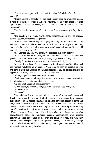'I hope at least you will not object to being defended before the courtmartial?'

'This is a point to consider. If I am tried publicly even by prejudiced judges, I have no reason to object. Behind the tribunal of exception there is public opinion, which revises all cases, and it is not repugnant to me to see mine discussed.'

This declaration seems to relieve Silvestre from a heavyweight. Says he at once:

'The selection of a counsel may be of the first moment. He must be learned, clever, eloquent, welcome to the judges.'

'This would be another way of cringing for mercy. Nothing of the kind. I do not want my counsel to be an ass, but I want him to be an upright honest man, and perfectly resolved in saying not a word that I could not indorse. Why should you not be the man yourself?' '

'Me! How can you fancy? I have never appeared in a court before.'

'So much the better. You are just the fellow that I want. Besides, this will give us occasion to be as often and as privately together as you may wish.'

'I really do not know what to answer. Such responsibility!'

'You may try at least. There is a good boy. Go at once to the War Oflice, and get yourself registered as my counsel. Then come as soon as possible, and we will have a good talk about it. At the last moment, if you do not feel inclined to appear, it will always be time to select another counsel.'

'When you put the question on such terms—'

'Gentlemen, time is up!' says the warder, who, unseen, stands present at the interview in the lobby that divides the boxes.

'Do you want anything—books, money?'

'O yes—books, to be sure. I will give you a list when I see you again.'

'Au revoir, then.'

'Good-bye.'

The visit has thrown me back into the reality of which confinement had freed me for a month and a half. I felt at times as if I were somewhere in space, quite apart from the terrestrial spheroid, and the periodical return of night and day, unconnected with any of the usual cares of life, was productive of a strange delusion. I could see the earth revolving on its axis and walking round the sun; one after another, its continents, its seas, climates, and countries were running off under my gaze. Deserts and cultivated fields, cities and villages, nations with characteristic habits and customs, peculiar communities, even private individuals, were discernible to me, with the minutest detail, although they looked like microscopic beings under a powerful object-glass. I read fully through their minds; I witnessed their hidden ideas, their hopes, aims, and motives of action with extraordinary lucidity.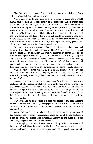Now I am back to our planet. I am to be tried. I am to be called to proffer a defence. What shall I say to those people?

The defence would be easy enough if only I meant to make one. I should simply have to enter into a brief review of the historical chain of events from the Empire down to this day; to show the 2d of December and the abdication of the nation entailing war on its master as a system of government, whilst twenty years of Sybaritism entailed national defeat; to evoke the aspirations and sufferings of Paris; to put them side by side with the unconditional surrender of the rural constituencies, first to Bonaparte, and next to Bismarck; to show how it was impossible that what has taken place should have been otherwise, and why it is as unfair as it is absurd to charge one single man, or any peculiar set of men, with the burden of the whole responsibility.

'You want to confuse war events with motives of action,' I should say, 'and to leave at our door the weight of such fatalities? We are the guilty men, and upon us must the expiation fall? All right. 'If amongst my judges there is one who did not implicitly vote last year for the Franco-German war by giving his "Ay" to the imperial plebiscite; if there is one who can boast that he did his duty, as a patriot and a citizen, better than I in a war which I had deprecated with all my strength; if there is one single man who can rise in court and complain that I have done him any wrong from any personal motive—let me be declared guilty.'

This is what I might tell them, if I chose, because it is only the unsophisticated truth. But I will not say anything of the kind. I will only answer what will practically amount to, 'I lictor. Vae victis.' Above all, no melodrama, for goodness' sake.

A queer idea occurs to me. It is a common charge against us that we are the plagiarists of '93. Suppose a wag should follow up the hint, and say in answer to the formal questions about name, age, &c., 'My name is at the Pantheon of history; the age of the sans culotte Jésus,' &c. I can hear the protests of the true plagiarists, who are not among us, to be sure. As if one had not a right to indulge in a little fun when his head is at stake! Let us be serious, then, immensely serious.

July 18th. Yes; there is worse still than the arrest of my dear innocent father. 'Dereure's wife,' says my newspaper today, 'is now at the Prison des Chantiers. There is there a governor, Lieutenant Marsereau, who knows how to manage these

gentry. With curious perversity she declines confessing the hiding-place of her husband. Her obstinacy is exceeded, however, by that of the son of Ranvier, a boy of eleven, who baffles with distressing audacity all the questions of the examining magistrate as to the father's abode.'

At first sight, such items of news have something in them that savours of humour; and still there is nothing of the kind. They are written in earnest, printed and published without sickening the public. Those people have actually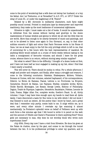come to the point of wondering that a wife does not betray her husband, or a boy his father. Am I at Timbuctoo, or at Versailles? In A.D. 871, or 1871? Under the sway of Louis XI., or under the magistracy of M. Thiers?

Related by a MS. chronicle in mediaeval characters, such facts might possibly sound normal. Printed in small-pica type by steam-power and improved machinery, they make up the most loathsome of nonsensical nightmares.

Silvestre is right. I must make out a list of books. It would be unpardonable to withdraw from the scenes without having said good-bye to the dozen masterpieces of human wisdom and genius to which we all owe the little that we are worth. More than enough to be utterly bereaved of music and paintings, and not to be allowed to listen once again to Don Giovanni, or, say, to that other sublime concerto of light and colour that Paolo Veronese wrote in his Nozze di Cana. Let me at least enjoy to the full the only privilege which is left to me, that of conversing for a few hours with the best representatives of mankind. No yachting fellow would embark on a cruise of three weeks without taking in his cabin a consignment of favourite volumes; and should I leave for the great cruise, whence there is no return, without storing away similar supplies?

But what to select? Here is the difficulty. I thought of a dozen books at first, and I have not been half an hour engaged in making up my list, when I find that I want nearly a hundred.

This will never do. There should be modus in rebus. For a whole afternoon I weigh and ponder and compare, and finally, after many a struggle and erasure, I come to the following conclusion: Rabelais; Shakespeare; Moliere; Voltaire, Romans et Contes, with two volumes, selected haphazard, of his correspondence; Diderot, Le Neveu de Rameau; Pascal, Lettres a un Provincial; La Bruyere, Caracteres; Honoré de Balzac, Les Paysans; Shelley, complete works; Byron, Childe Harold; Montaigne, Les Essais; George Lewes, History of Philosophy; Daguin, Traité de Physique; Legendre, Géométrie; Baudelaire, Poésies; Leconte de Lisle, Poems; Edgar Allan Poe, complete works; Goethe's Faust. In all, thirty volumes. I hope I may have time enough upon my hands to read them all. Quite lately, I have discovered a taste for fine verse in me with which I did not know I was blessed to such an extent. All the poetry that I know by heart, and a great deal that I remember only partly, comes back to me. It sings within me, as it were, and every other minute I overtake my lips scanning it almost mechanically. La Fontaine's splendid verse on behalf of Pellisson went up with such force a few minutes ago that I felt bound to write it in pencil on the wall; and the account of Othello and Dante's Francesca! Is there anything finer? Since gods are necessary to man, why does he not worship those who wrote such superhuman lines?

July 20th. Every day now I have a visit from Silvestre. He dons his gown at the Palais de Justice, close by the gaol, and comes to me through the tunnel between the two. It is his professional privilege to enter my quarters, and to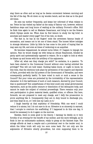stay there as often and as long as he deems convenient between morning and the fall of the day. We sit down on my wooden bench, and we chat as in the good old times.

He sees my mother frequently, and keeps her informed of what relates to me. Twice he has visited my father at the camp of Satory—not, however, without fastidious steps and long hours of waiting at the military Provost's office. Still he finds time again to call on Madame Desarnaux, and bring to me the flowers which Olympe sends me. When does he find leisure to study his big brief, to annotate and master every page? Out of his rest, no doubt.

The fact is, he has at his fingers' ends the seventeen famous heads of accusation, and means not to let one of them stand. The honest fellow indulges in strange delusions. Little by little he has come to the point of hoping that he may save my life, and even at times of reckoning on an acquittal.

He becomes impassioned, he almost turns bitter, if I happen to impugn his opinion. Fain he would charge me with being an obtuse Reactionist, blinded by party spirit and systematically opposed to reason. He is a sight to look at when he blazes up and booms with the artillery of his arguments.

'After all, what can they charge you with?' he exclaims, in a passion. 'To have been elected to the Communal Council without even having solicited the privilege? This will not hold water. Sucking babes know, or ought to know, by this time, that the elections took place by permission of the mayors and deputies of Paris, provided with the full powers of the Government of Versailles, and were consequently perfectly lawful. To have voted in such or such a sense in the Council? But your votes are protected by the inviolability of the representative character. Is it the lawfulness of such or such measure, decreed by your Council, that is questioned? But unlawfulness of this kind could only entail governmental repression, such as the public censure or dissolution of the delinquent body, and cannot be made the subject of criminal proceedings. There remains only your own participation in given material deeds, qualified crime, or offence. But here, forsooth, we are prepared to meet any charge, and I defy the prosecution to prove anything like it. Consequently they are in duty bound to discharge you, and they shall do so, or I will lose my Latin on it.'

I laugh heartily at that sophistry of friendship. With one word I could reduce it to atoms, but I do not care to do so. Silvestre is so sincerely in earnest, that I scruple to overturn his scaffolding. If I happened to do this one day, it would be necessary to do it again on the morrow.

Besides, there is some good in his theory. I daresay he dwells on it very forcibly of an evening for the benefit of my mother, and the more willingly, as he finds in her an enthusiastic audience, ready to grasp at the faintest hope. The mirage affords at least a respite and a provisional rest to the tender soul, to which the bitter truth will only too soon come back. For not only are the arguments of Silvestre utterly groundless, but even supposing them to be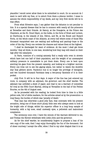plausible I would never allow them to be submitted in court. On no account do I want to cavil with my foes, or to extort from them a piteous verdict. I mean to assume the whole responsibility of my deeds, and my very first words will be to that effect.

From what Silvestre says, I can gather that the delusion is not peculiar to him. It is a special disease that he has in common with nearly all the prisoners at Versailles and their friends. At Satory, at the Orangerie, at the Prison des Chantiers, at the St. Cloud Dépot, on the hulks, in the forts of Brest and Lorient, at Cherbourg, in the islands of Aix, Oléron, and Ré, at the Ennet and Boyard Forts, on the whole coast of the Atlantic, at every hell where some of those fifty thousand vanquished men are waiting and suffering and panting—hope is the order of the day. Every one reviews his chances and values them at the highest.

'I shall be discharged for want of evidence. At the most I shall get three months,' they all think, to one man, wondering how they may still stand on their legs after the cataclysm.

In Paris, rumours of a coming amnesty find a ready echo even in streets which have lost one half of their population, and the weight of an unexampled military pressure is unavailable to put them down. Every one is bent upon averting his gaze from the present calamity, and looking at a brighter morrow. Every one tries not to see the gaping abyss, but rather to watch the doubtful star that glitters above. Pandora's box is no longer the privilege of demigods, and two hundred thousand Parisians keep a two-penny facsimile of it in their pocket.

July 31st. It will be in four days. A major of the line has just entered my room, in company with an adjutant, the governor; and the chief warder. The adjutant has unfolded a sheet of paper, and read to me a warrant of committal for trial at the 30th Court Martial, sitting at Versailles in the hall of the Petites Ecuries, on the 4th of August next.

As he proceeded with his reading, he looked from time to time in a little yellow code, full of white markers, for the articles aimed at by the prosecution—a long litany, the burden of which was 'penalty of death.'

That man has otherwise a good jolly face, that contrasts with his present avocation, being one of those short plump little men who always seem to look at the bright side of things; whilst his superior officer is a long bony sample of humanity, with a big nose, small unsteady eyes, a yellowish and malcontent complexion.

The ceremony once over, I have the minute of the warrant delivered to me, and Tristan the Hermit withdraws with Little John and the governor.

As for the chief warder, he considerately lingers to propose a loan of his own copy of the code, that I may enjoy thoroughly the fun of the document. Out of sheer courtesy I accept the offer, when I find to my utter disgust that it is an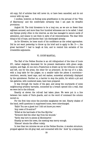old copy, full of articles that will never do, or have been cancelled, and do not concur with my case.

I confess, however, at finding some gratification in the perusal of the 'Title of Matrimony,' and the comfortable certainty that I am past its dreadful provisions.

August 2d. The trial threatens to be a long one, as we are no fewer than eighteen accused, and more than four hundred witnesses are to be called. I shall see Olympe pretty often in the interval, as she has managed to secure cards of admission, and means to use them in spite of all remonstrances. The dear little thing is full of hope, and fancies that I am discharged already.

As for Silvestre, he loses much of his confidence as the ordeal approaches. Did he not want yesterday to throw up his brief and to apply to Me. D——, the great barrister? I had to laugh at him, and to remind him seriatim of his irresistible arguments.

#### VI. COURT-MARTIAL.

The Hall of the Petites Ecuries is an old riding-school of the time of Louis XV., rather elegantly decorated for its present destination with green serge, carpets, and flags. At one end a Praetorium is drawn up by two tribunes on right and left, one for the press, the other for us prisoners. At the top of it a dais, with a long table for the judges; on a smaller table the pièces à convictionrevolvers, swords, laced caps, and red sashes, somewhat artistically displayed by the upholsterer. Farther on, a barrier to stop the public, for which a pit and two galleries, with numbered seats, have been prepared.

It was through the vaults of the gaol, and along the courtyards of some neighbouring artillery barracks, connected by a breach opened into a wall, that we were led to the tribunal.

Exactly at eleven the roll-call had taken place. We were put in a line between two ranks of Paris guards, and on the word of command the column moved on.

For the first time since the journées sanglantes we met. Hearty shakes of the hand, swift questions in suppressed tones, were interchanged.

'Hallo! You are a guest too! I did not know you were.'

'Any news of So-and-so?'

'Killed at the barricade of the Rue Myrrha.'

'Vermorel died the other day from his wounds.'

'Varlin was torn to pieces at Montmartre.'

Ghastly as were the news, the meeting was merry enough.

'Silence!' shouts the officer rudely.

In less than ten minutes we are at the Petites Ecuries. A wooden structure, propped against the old gray wall, and connected with the ' dock' by a temporary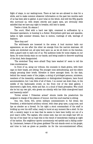flight of steps, is our waiting-room. There at last we are allowed to chat for a while, and to make common whatever information on the past two months each of us has been able to gather. A poor total on the whole. And still the fifty guards who surround us, with drawn swords and angry eyes, are obviously little satisfied that we have any right to breathe, still less to speak.

Twelve o'clock. En séance I

The court, filled with a hard raw light, crammed to suffocation by a thousand spectators, is buzzing in a flutter. Everywhere gold lace and epaulets, ladies in light summer dresses, fans in motion, rustlings of silk, wavings of feathers.

'Here they are!'

The wild-beasts are loosened in the arena. A loud murmur hails our appearance, as one after the other we emerge from the narrow staircase. All necks are stretched out, all eyes bent upon us, as we sit down on the benches, with a guard next to each one of us. The audience looks for some stigma on our faces, for some bloody stain on our hands, and being unable to discover anything of the kind, feels disappointed.

'The wretches! They were afraid! They have washed it!' seem to tell the irate countenances.

In front of us, along our tribune, the counsels in black gowns, with their caps on their heads, are sitting. The younger ones attitudinising, and the elders simply perusing their briefs. Silvestre is there amongst them. On the dais, behind the vacant seats of the judges, a string of privileged persons, ministers, members of the Assembly, ambassadors or distinguished foreigners, have found accommodation; but I see little of all of them. I no sooner sat down than, in the middle of the fashionable crowd, on the front row of the west gallery, I discovered a light form, white and fair, in a cloud of black grenadine. Who could she be but my own girl, who greets me silently with her little close-gloved hand and heavenly smile?

'Portez armes I Présentez armes!' shouts inside the praetorium the sergeant in charge of the platoon of honour. And the court-martial is sitting.

One, two, three, five, seven military commissioners in full dress; the President, a white-haired artillery colonel, with clear gray eyes, a pug nose, and lips as slender as a thread. On his right a stout commandant of the staff is bridling up over his stiff collar, ready to burst at any moment like a shell. On his left, a cavalry major is so lean that he seems to have been bodily cut out of a poor man's coflin. The captain, who comes next, has not one single hair left on the top of his head—let us hope this is the result of immoderate reading at night of his tactics. His neighbour sports uncommonly red eyelids and a falling underlip. Lieutenant, beware of the green goddess! The sub stands erect on his gorget, and tries to look as grave as possible. As for the non-commissioned officer,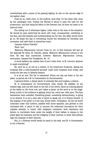overwhelmed with a sense of his passing dignity, he sits on the narrow edge of his leather chair.

Close by us, Little John, in full uniform, does duty. On the other side, close by the newspaper men, Tristan the Hermit is about to open the case for the prosecution, and this being his début in the forensic line, he does not seem to be quite at home.

The calling out of witnesses begins. Little John is the man of the situation. He should be seen bestirring his short self, busy, consequential, overflushy in the face, and still amiable and condescending; but for him, the affair would never go on. He keeps the key to everything, knows the witnesses by Christian and surnames, and calls them in stentorian tones.

'Jacques Isidore Chardin!'

'Here I am.'

'Mathurin Népomucene Leroux! Come on, sir, or this business will last all the daylong! Sit down, M. Chardin, please. Mathurin Népomucene Leroux is not here. He was duly summoned, however. Mathurin Népomucene Leroux, accountant, Impasse des Vinaigriers, No. 14.'

A cloud saddens the radiant face of poor Little John. Is M. Leroux's absence to upset everything?

No; here he is, as red as a lobster, in his brand-new frockcoat, wiping his forehead with a wide-checkered kerchief. Little John breathes more freely, and scolds the late man in fatherly fashion.

It is at an end. The list is exhausted. Every one has sat down in his due place. La parole est d M. le Commissaire du Gouvernement.

A general flutter; a dying report of unsteady feet and tongues; a silence.

M. le Commissaire du Gouvernement rises slowly. He waddles on his endless legs, puts his left hand on the hilt of his sword, darts an enticing glance at the ladies on the front row, and 'takes a pause' as the word is on the stage. Every mouth in the audience is gaping; every ear, every eye, wide open. The fans themselves have subsided. Something grand, something extraordinary, is going to be uttered. It is not a man who is about to speak out; it is France herself, in the majesty of her grief; it is the Law, Social Order, Civilisation. All the old world incarnate under this uniform, saddled with those epaulets, and girthed in this varnished belt, is about to call to account the indiscreet innovators for their culpable attempt; to brand, with indignant comments, their impotence and failure; to overwhelm them under the weight of their defeat; to expose to the public gaze the baseness and the indignity of their motives; to show with pitiless logic the insanity of their theories.

But, lo, a Bossuet would barely be equal to the task, and M. le Gommissaire is not a Bossuet.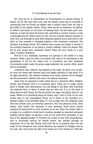#### VI. Court-Martial from the Dock

Nor only has M. le Commissaire du Gouvernement no natural fluency of speech, but he has very little voice, and the falsetto notes that he succeeds in summoning from his throat are shaken with a tremolo which does not help to give effect to his maiden oration. Every other second he stammers, he dabbles, he falters, and seems on the point of breaking down. He had taken good care, however, to learn by heart the lesson that, according to current rumour, no less a personage than M. Thiers wrote for him. But his confused memory declines to serve him, and although he slyly darts desperate glances at his open brief on the desk, he only succeeds in stringing together a few incoherent sentences. The situation is growing critical. The audience feels uneasy, and begins to wonder if the unlucky prosecutor is not going to vanish suddenly under the boards. Why did he ever accept such unfamiliar duties? These are your tricks on a poor major, O passive obedience!

Now he is at a standstill; hopelessly run aground in the middle of a long sentence. What a pity the office of prompter that used to be maintained in the parliaments of old for the eldest sons of councillors has been abolished! Conveniently posted under the green serge tablecloth, the worthy officer would here be invaluable.

A felicitous idea, however, has dawned on the major. He leans over his MS., he turns the leaves with feverish hand, and begins manfully to read aloud. It is all right henceforth. The audience breathes more freely. Society will be avenged, and the prosecutor's address will come to its natural conclusion.

Apart from its exponent it looks rather flat as a rhetorical effort. Religion, Family, and Property hold in it prominent parts. These are no longer names given to things, mere abstractions, but real beings in the flesh, with individual and objective lives, to whom it seems that we wish evil. It is in the name of these persons that Tristan the Hermit grinds his organ and plainly asks for our heads. Whilst he is stumbling along his dreary way I look in front at the wellknown faces in the press-gallery. Every one of them on the shoulders of a spotless knight of the aforesaid ladies, if I am to judge from the indignant looks that they bestow upon us unworthy prisoners. Pure and generous souls, stout hearts, lofty brains! The spectacle of your goodness would alone console mankind for giving birth to such monsters as we are. When the Roman faith is at stake it is a comfort to think that it numbers amongst its stanchest advocates wealthy Joshua Mayer, as genuine a Jew as ever came from Jerusalem. In the face of the appalling danger to Property one is glad to hear that young Marcas, who is chronically hard-up for twenty francs, has enlisted amongst its supporters. As to the lady Family, how could she be in jeopardy when she can boast for her champions, here honest Minimus, the bastard of a Belgian curé by his cook, who once threw the wife of his bosom out of the window of a fifth flat;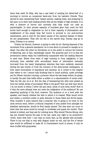there that swell De Help, who has a sad habit of sending his better-half of a morning to borrow an occasional bank-note from his bachelor friends. They should be seen sharpening their valiant pencils, making notes, and preparing to fall upon us in their next leading article with all the weight of high morality. It is with a mixture of horror and curiosity that they study our case as psychologists. In their private capacity of honnétes gens they could not find words hard enough to stigmatise us; but in their capacity of philosophers and enlighteners of the people they feel bound to proceed to our post-mortem examination, and to look for the latent causes of the national disease of which we are symptomatic. They will not fail in the sacred duty. Society may go to sleep: D'Assas is on sentry.

Tristan the Hermit, however, is going on with his MS. Having disposed of the movement from a general standpoint, he is now about to proceed to mangle us in detail. One after the other he introduces us to the public in colours the reverse of flattering, and, in fact, exceedingly coarse. The queerest part of it is that the prosecution seems really but inditferently acquainted with the leading features in each case. Either from want of legal training or from negligence, it has obviously been satisfied with secondhand items of information textually borrowed from the hasty biographical sketches that have suddenly swarmed during the late events or from the columns of the demi-monde newspapers, in both cases monuments of impudence and calumny. As it comes to the chapter that refers to me I cannot help thinking that to insult publicly, under privilege and for fifteen minutes running, a prisoner whom the law keeps within its grasp, is hardly the part that befits either a soldier or a representative of social order. Take his life; yes, be it so. But the idea of besmearing him with mire picked up from the lowest strata of journalism! What is the good? How can that man whom I do not know, to whom I never did any harm, think of such dirty work? How is it that the mere attempt does not raise the indignation of the audience? No use expecting anything of the kind, however. The audience is on a level with the speaker, and clearly relishes the dish to which it is treated. What would revolt and sicken a northern public is quite welcome to those fickle and fervid people. They consider it quite natural that a prisoner who is going to be tried on the most serious issue, before a tribunal composed of men picked from amongst his deadliest adversaries, should be first basely abused. The idea does not occur to them that this alone would be enough to invalidate and quash the verdict. Their hatred is tickled, and they ask for nothing more. Why should Tiburce Moray, who has put himself beyond the pale of the law, claim any right to its protection? 'Down, down with him!' I can read on every face, as the ignoble libel proceeds. There is but one that is rosy with disgust under its veil, and the fire of whose eyes would be sufficient to make M. le Commissaire burst to pieces, if only he were truffed with gunpowder.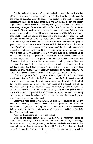Really, modern civilisation, which has devised a process for putting a live pig at the entrance of a steam apparatus and finding it at the opposite door in the shape of sausages, ought to devise some system of the kind for criminal proceedings. There is no public function in which personal feeling and vanity ought to have a lesser scope, and there is probably none in which both are more extensively displayed. Thrice wise and beautiful is the British law, that shuts up the mouth of the accused man and protects him against all abuse. But how much wiser and more admirable would be any improvement of the legal machinery that would protect him against the spectacle of the many-shaped interests -and affectations that feed on his misery! Here I am in the dock. The drama is barely at its first stage, and I have only to review the actors to see them all a prey to gratified conceit. Of the prisoners the less said the better. Who would be quite sure of avoiding in such a case a tinge of cabotinage? But, beyond doubt, every counsel is convinced that the world is suspended to his lips and thinks of him: 'What a keen intellectual-looking face!' Every judge puts on his blandest air of fairness and austerity. The prosecutor, the recorder, the witnesses, the sheriff's officers, the privates who mount guard at the limit of the praetorium, every one of them in their part is a subject of self-applause and importance. Even the spectators have caught the contagion, and there is not one of -them who does not feel socially the better for having succeeded in securing a seat at this sensational trial. Villemessant, comfortably enthroned on his treble bankruptcy, shines in his glory in the front row of the press-gallery, and seems to say,

'C'est moi qui suis Guillot, pasteur de ce troupeau.' Little B., who takes shorthand notes for the Gazette des Tribunaux, evidently thinks that the special end of all this is to supply him with an extraordinary total of eight hundred lines a day. Handsome Z. keeps his right hand in his breast, like M. de Lamartine, and is quite convinced that people go on saying, 'He is the famous Z. of the Petit Journal, you know.' As for the plump lady with the yellow bonnet there, she takes it for granted that all the army-fellows in the room are making eyes at her, and that the prisoners themselves, hardened sinners as they are, cannot be entirely callous to her spell.

Meanwhile heat becomes unbearable, as does the tediousness of the dry monotonous reading. It comes to a close at last. The prosecutor has exhausted his store of imprecations and epithets. The examination of the accused—a judicial ceremony, for the maintenance of which we are indebted to the Code Napoléon—is about to commence.

'Prisoner Ferré, stand up!' orders the colonel.

Ferré is the most heavily charged amongst us, if twenty-two heads of capital accusation may be said to be more than seventeen. Rightly or wrongly, he is considered a regular pétroleur; the darkest misdeeds are placed to his personal account. Several newspapers have published the facsimile of an alleged order for setting the Ministry of Finance on fire,—flambez finances,——which is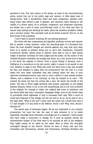ascribed to him. The very nature of his duties, as head of the insurrectionary police, points him out to the public rage and rancour. A little spare man of twenty-seven, with a wonderfully white and clear complexion, aquiline nose, sharp black eyes behind a pair of glasses, and nacreous teeth shining in the middle of a brown beard, he is coolness, composure, and soberness incarnate, yet withal has a kind of quiet out-of-the-way touch of fun. Now and then he cannot help smiling and showing his teeth, when the audience shudders visibly, and a murmur arises: 'The cannibal! Look at his ferine incisors!' But he, on the first words of the president:

'I don't want to answer anything. No use putting questions.'

His whole self was unassuming and dignified, perfectly correct and natural. Not to answer a plain question, under the searching gaze of a thousand foes, when the most dreadful charges are uttered against one, may look very easy; there is in reality no greater strain put on one's will. Guatimozin, Toussaint Louverture, Barbes, almost alone in history, were able to rise to that serene height of absolute contempt for their judges and the public. As the author of the Comédie Humaine remarked, the savage man alone, as a rule, knows how to keep in his doom the majesty of silence. Such a proud feeling of decency, such a folding-up of a conscience on its own secret, ought, it seems, to be sacred to any mob, whether in rags or lace. What else could one want from a man who accepts his fate, and disdains to argue with his prosecutors? But the mob is a cruel beast,—the very beast unmasked that was lurking under the skin of your improved nineteenth-century man; and in such a silence it sees merely another offence, and a defiance to its curiosity, so that its remark is at once: ' The coward! He dares not face his crimes like a man. He wants the benefit of the doubt.' The fact is Ferré might perfectly well answer, especially on the alleged flambez finances, which is not in his own handwriting, and is not even produced in the original; for, strange to relate, the original was never in existence, and the whole affair was only a miserable newspaper dodge, such as the foulest class of journalists think legitimate, if only it increases their sale. With a word he could have disposed of the charge, but did not care to do so. As he said to me a few days later: 'What is the use? I never sent the order; but I would have sent it if I had thought it of any avail to the defence, would I not? Why, then, should I disclaim it?'

The march past of witnesses begins. We all are implicated in one common prosecution; but none the less the case of each prisoner is to be taken separately. Amongst those witnesses, concierges are in a majority: I mean people who have really a house-door in charge; for if such as possess merely the characteristic temper of the tribe were to be included as well in the category, they might nearly all be called by the name. Next to them, the strongest contingent belongs to the Church. Clerics we have of every robe and hue: Carmelites and Franciscans, Jesuits and Dominicans, Christian Brothers and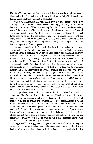Marists, abbés and canons, deacons and sub-deacons, regulars and free-lances, black and white, gray and blue, with and without shoes. Out of that concile two figures above all others stand out in bold relief.

One, a curate, lean, squalid, wan, with long yellow hairs stuck to his narrow skull by some mysterious device of clerical trimming, young in years and old in looks, sporting a pair of blear eyes entirely devoid of the usual border of lashes, and still burning with a He spoke in one breath, without any pause, and poured down upon us a torrent of gall. He foamed, he was the living image of spite and fanaticism. As he stood in the middle of the court, stamping the floor with his dusty shoe over a blue-cotton stocking, his weakly arm stretched towards us, his long bony hand issuing from a shabby sleeve, I thought that Torquemada himself had risen against us from his grave.

Another, a stately white friar, with feet bare in his sandals, and a closeshaven pate shining on shoulders that would befit a sawyer. What a handsome monk! and what a consummate art of perfidious charity and feline hatred! Every word from his lips hit the mark. 'Yes, colonel, I unfortunately know the prisoner. I once held the holy ministry in the small country town where he was a schoolmaster. Heaven knows I was then far from foreseeing in what an abyss of sin he was to tumble. But I had already noticed in him that unmanageable pride, the principle of every blindness and evil, that was to lead him to wholesale murder and arson. Pretty often, as I walked through the meadows by the river, reading my Breviary, and raising my thoughts towards the Almighty, he accosted me to talk about his earthly interests and ambitions. I could remark in him a leaven of impious revolt against everything that is respectable.' So on for twenty minutes, and then he bows unctuously with a kind of semi-genuflexion he withdraws modestly, or rather he flies away on the wings of his white peplum. The audience is deeply impressed. Fair eyes are moist. An admiring murmur arises slowly. He is not a man, but an angel.

A large class includes the good people that have ' saved' somebody or something. The Bank of France, for instance. Nobody will ever fathom the machiavelism and courage which were indispensable to M. de Ploeuc to defend that great institution against the Parisians. There were three hundred thousand National Guards, armed to the teeth, who had no other idea in their minds than to lay hands on the bank-note press. He was alone, unarmed, a lame and sickly man in the bargain. Still he managed to have the best of it, and to tame the hydra. At least, he says as much, and probably he believes it to be the truth. M. Thiers has just raised him to a superior rank in the Legion of Honour for the exploit. Poor hungry people of Paris, who for two months mounted guard round the milliard; this is the thanks you get for it!

A type as old as the glyptodon claripes is the witness who wants to help the prosecution as far as possible, but at the same time is afraid of hurting the feelings of an advanced constituency. He is a Republican, even a Radical, but a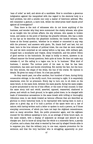'man of order' as well, and above all a candidate. How to conciliate a generous indignation against the vanquished with due regard to the electoral body is a hard problem, but still a soluble one—only a matter of histrionic address. Who will remember a gesture, a mere look, whilst the letter-press itself stands proof against all investigation?

Then there is the mob of witnesses who do not know anything of the business, and wonder why they were summoned: the chatty witness, who gives us an insight into his private affairs; the shy witness, who speaks in broken tones, and seems on the point of fainting; the graceful witness, who has a smile on his lips as he describes the ghastliest incidents; the hostile witness, 'who fumes at the formal question, 'whether he is related or connected in any way with the prisoner,' and answers with gusto, 'No, thank God!' and last, but not least, here is the true witness of political trials, the one that we were waiting for, and we were surprised at not seeing before—a big man, with military gait, cropped hair, a moustache and virgule, shiny broadcloth, and the yellow ribbon of good service in the buttonhole. He steps in boldly is sworn, answers in an offhand manner the formal questions, feels quite at home. He does not make any mistake—O, no! His calling is a vague one; he is 'in business.' What kind of business, I wonder. The curious point of his case is, that he has been everywhere, has seen and knows everything. Not merely the fact, but the hour, the very minute, the shape of the dress, the hue of the cravat. He rejoices in details. He gives too many of them. On n'est pas parfait.

So they march past, one after another, four hundred of them, during thirty consecutive sittings, in the stuffy court, from morning to night. It is exquisitely wearisome, even for us prisoners. Every day to turn out, to sit down on the same bench, in the same dock, between the same guards, facing the same judges; to grow accustomed to the tie of this officer, or the nose of that counsel; to hear the same story told and retold, asserted, opposed, reasserted, shattered to pieces, and rebuilt on fresh ground, to be again pulled down; to be charged with loads of tremendous accusations in the same breath with trifling or thoroughly ridiculous ones; to see deeds treated as heinous offences that are described as glorious in every historical book; to be reproached with having been in such a place on a given day, as if to hold a portion of the space were not a. law of nature; with having written such a letter or spoken to such a person, as if those everyday occurrences, of which you have not kept the slightest remembrance, were so many atrocities. Next, the public prosecutor again, and the eighteen counsel for the defence speaking in turn, on an average of three hours each, on the same subject, with a display of argument as strange and absurd as the charges are. And to know all along that the whole is a miserable farce, a parody of justice, and a sham; that what is wanted by foes and by alleged friends alike is to suppress you; that the military jury, to one man, expects promotion for its sentence; and that the very barrister who is struggling, apparently on your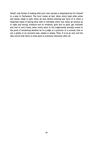behalf, only thinks of making with your own carcass a stepping-stone for himself to a seat in Parliament. The hour comes at last, when every head alike aches and seems ready to split; when all ears decline hearing any more of it; when a desperate haste of having done with it overtakes every one; when all notions as to right and wrong, evidence and no evidence, guilt and no guilt, get confused and reel in one's brain; when every actor in the tragicomedy actually comes to the point of wondering whether he is a judge or a prisoner or a counsel, free or not, a guilty or an innocent man, awake or asleep. Then, it is at an end, and the idea occurs that there is some good in summary execution after all.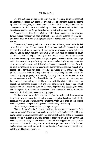#### VII. The Verdict.

For the last time, we are led to court-martial. It is only six in the morning of a bright September day: there are five hundred and seventy questions drawn up for the military jury, who want to answer them all in one single day, and the consequence is that we were called up at five, and sent out without any breakfast whatever,. as the gaol regulations cannot be interfered with.

Then comes the time for being shown in the dock once more, answering the formal request whether we have anything to add on our defence—O dear, no! and being shut up in our waiting-room, there to remain till the delivery of the verdict.

The counsel, knowing well that it is a matter of hours, have hurriedly fled away. The judges are, like us, shut up in their room, and still the court—we feel through the wall, as it were, or it may be we only guess—is crowded to its utmost, and patiently awaiting the result. We at least have an excuse for doing so—that we cannot help it. Sitting on the rough bench round the wooden structure, or walking to and fro on the gravel ground, we chat cheerfully enough under the eyes of our guards. Only one in our number is giving way under the strain of mental tension, and, thinking perhaps of his deserted home, of a wife or child to whom his disappearance will be heavily felt, he isolates himself in a corner,. and, shutting his eyes, propping his weary head against the wall, pretends to sleep. Another, guilty of having not kept, during the trial, within the bounds of party propriety, and actually boasting that he had entered into a secret agreement with the Versaillists for the purpose of betraying the Commune, is shunned by us all like a man with the plague. With those two exceptions, everybody stands erect and looks straight in the face of the coming catastrophe. Once more we sum up the case, disputing and debating the odds, like betting-men in a racecourse enclosure. 'All condemned to death!' thinks the majority. ' All discharged!' asserts. young Hopeful.

For hours running we hold out, and the general excitement does not seem to undergo any decrease. But at last a sense of physical lassitude is stealthily creeping over us and crushing down our spirits, when all at once, as two o'clock is struck, some one explains the general uneasiness by exclaiming,

'Two o'clock, and we have had nothing to eat yet!'

Now we know what is the matter with us. We are simply" ravenous. Is it done on purpose? Have our kind gaolers resorted to the scheme of making so many Ugolini of us, and disposing in that convenient fashion of the troublesome burden? Or is it simply a gracious device of theirs to weaken our nerves and make us look unmanly at the decisive minute? The supposition seems to be ungenerous; but we have experienced such strange treatment within the last twelve weeks—seen such extraordinary outbursts of fanaticism and hatred—that nothing would astonish any of us.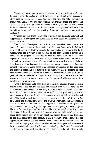The guards, questioned by the proprietors of such stomachs as are loudest in their cry for the cupboard, maintain the most stolid and stony composure. They have no orders as to food, and dare not, will not, take anything on themselves. Besides, we are now pending the sittings under the direct and special authority of the president of the court-martial, who cannot be disturbed in the council-room. And to think that meanwhile our respective breakfasts, duly brought up to our cells by the working of the gaol regulations, are waiting uselessly!

Towards half-past three the subject of victuals has decidedly absorbed and suppressed all other topics. The question is no more death or discharge, but to eat or not to eat.

Five o'clock. Twenty-four hours have now passed—it seems more like twenty-four days—since we dined yesterday afternoon. Some begin to feel as if they could almost try their propensity for cannibalism upon one of the Paris guards, when the governor of the gaol hits at last upon the idea of paying us a visit, for the purpose of ascertaining how his flock fares with that long expectation. He is one of those men who put their whole heart and soul into their calling, whatever it is, and he would rather blow out his brains, I believe, than lose any of his boarders through escape, poison, hunger, or in fact any natural or unnatural cause, other than discharge or a receipt in due form from the officer in command of a platoon of execution. So that he resents at once most warmly our tragical situation—I mean the deprivation of food—as a kind of personal offence, overwhelms the guards with obloquy, and hastens to the next restaurant, there to order a luncheon, which a posse of white-aproned waiters bring to us in large baskets.

What a luncheon! Cold beef, ham and chicken, cheese, grapes, a dozen bottles of wine, and last, but not least, hot coffee in wide glasses. Were I to live till I became a centenarian, I would keep a grateful remembrance of that coffee. Never have I tasted anything that did me half so much good and gave me so much pleasure. It was as if its blessed warmth were running in one's veins and giving the heart a fresh impulse. In other respects the whole affair was a gay one. Under the magical influence of the fragrant stimulant, and the diversion that we found in the satisfaction of our appetites, a reaction set in against the tediousness of the dreary day, and again we began laughing and cracking jokes like true Parisian boys, chaffing at the public that persisted in waiting on the other side of the wall, and even at the guards who cast indignant looks on our cheer. Much fuss is made in history about the famous dinner of the Girondins, on the night previous to their execution, when Vergniaud availed himself of the opportunity of delivering a last speech, Ducos followed with a piece of verse, and all wound up singing a parody of the 'Marseillaise.' From personal experience I have no hesitation in asserting that their conviviality only showed that they had a satisfactory menu, and was simply the outcome of a law of nature which,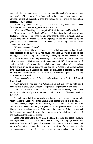under similar circumstances, is sure to produce identical effects—namely, the protestation of the powers of nutrition against the coming catastrophe, and the physical delight of reparation that the frame on the brink of dissolution appreciates more keenly.

In the very middle of our glee, the sad face of my friend and counsel Silvestre puts in a dejected appearance at the wicket.

'What news? Have they not done yet with their farce of a deliberation?'

'There is no cause for laughing,' said he. 'I have been for half a day at the Prefecture, waiting for information, as I knew that the special instructions of M. Thiers were that the verdict should be imparted to him before delivery to the public; and the information that I have got is simply dreadful. Nine condemnations to death.'

'Who are the doomed ones?'

'I have not been able to ascertain. It seems that the business has already been disposed of for more than two hours. But when M. Thiers heard of the finding, he began shrieking in his usual way, and saying this was too absurd, and was not at all what he wanted; protesting that nine executions at a time were out of the question; that he was sure to have no end of difficulties on account of such a verdict; that he would like much better so many condemnations to prison for life, which would attain the same end, and so on. "Three death-warrants, this is the maximum that I admit in this case," he exclaimed in conclusion; and the military commissioners have set to work again, somewhat puzzled at having thus overshot the mark.'

'Is not that palace gossip? Do you really believe it to be the truth?' I asked from Silvestre.

'I am sure it is,' was the reply, 'although I am not at liberty to state how I have got the information. The scene took place in the presence of five people.'

'Don't you think it looks much like a preconcerted comedy, and a bad imitation of the timely fits of temper in which the first Napoleon used to indulge?'

'I don't know; but I am so certain of its authenticity, that I am actually going back to the Prefecture to try again if I can scrape up a little more news.'

He vanishes, and again we start debating the odds. Who were the nine? Who are to be the three? Ferré laughs a good deal at the general indecision, as, for his own part, he feels quite sure of the result, the president of the court-martial having been kind enough to warn him, in terms more forcible than courteous, of the treatment that he might expect.

Hour after hour whiles away. Eight o'clock. Nine. Night has set in long ago; bull's-eyes have been brought in, which cast a scanty flittering light within our enclosure. Once more the general excitement has given way to weariness, and no wonder, after fifteen hours of such waiting. Some have already accommodated themselves for the night on the wooden benches round the wall,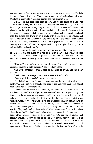and are going to sleep, when we hear a stampede, a distant uproar, outside. It is the public going out of court. Most certainly the verdict has just been delivered. We alone in the building, with our guards, are still ignorant of it.

But here is our door wide open at last, and we are called up-stairs. The court is empty now, totally cleared of strangers, and even of judges. Three or four lamps on the table only help in making the wide nave look deeper and gloomier, as the light of a match does at the bottom of a cave. In the rear, within the large open space left behind the rows of benches, and in front of the closed gate, the guards are drawn up in a circle, with a lantern here and there, and swords shining in the darkness. We are bidden to enter the circle. In the middle stands the military recorder, with a bundle of papers in his hand. There is a beating of drums, and then he begins reading, by the light of a lamp that a private holds up close to his face.

It is the answer to the four hundred and seventy questions, and the verdict in each case. Still and silent, we listen to the long litany of our fate. From time to time—once, twice, thrice—a phrase glitters like a steel blade in the monotonous recital—'Penalty of death'—then the reader proceeds. Now it is my turn.

'Tiburce Moray—negative answer on all heads of accusation, except on the principal question of high treason. Prison for life in a fortress.'

This is the outcome of what I hear as in a kind of dream, and the litany goes on.

I feel a hand that creeps to mine and shakes it. It is Ferré's.

'I am so glad—I am so glad!' he whispers to me.

Poor fellow! he means for me. His sentence was the first delivered, and is death. The next, curiously enough, was that of the man who boasted of having been in the pay of the Versaillists.

The business, however, is at an end. Again a drum-roll, then we are set in a row between a double line of guards and marched back to the gaol through the barrack-yards. As soon as we appear outside, we are greeted with a volley of yells and hisses. About a hundred individuals, for the most part belonging to the 'man on 'Change' type, with white hats and waistcoats and big chains on their bellies, have been at the trouble of waiting for us, for the purpose of unburdening their gentle souls of the disgust they feel at the mildness of the verdict. 'They ought to have been skinned alive!' says one of them, with obvious sincerity. (A 'bull,' I should think, with whose operations the Commune did not quite agree.) Another succeeds in breaking through the line of guards and actually striking a blow at one of us. He is removed, however; and a little farther, under a lamp-post, as we go on, we can acknowledge with a wink the sorrowful countenances and silent adieus of a small, very small, knot of sympathisers. Next we reach the prison; the file is broken, hands are hurriedly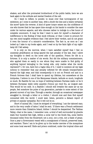shaken; and after the protracted brotherhood of the public battle, here we are back again to the solitude and mental freedom of the cell.

Do I want to reflect, to ponder, to muse over that turning-point of my existence, as I come in another man, with a doubt the less and a heavy certainty the more? Quite the reverse. A kind of queer torpor seizes me; the confidence of one who knows that he has spare time enough on his hands to consider the case under its various aspects, and who chooses rather to indulge in a few hours of complete unconcern. It may be that I want to earn for myself a character of indifference to the finding of that mock tribunal, or that I crave to procure for my own mind tangible evidence that I feel above their verdict, and do not grant it even the honour of a minute's consideration. The fact is, as soon as I am locked up I take to my books again, and I read on by the faint light of my nightlamp till I fall asleep.

It is only on the morrow, when I have satisfied myself that I feel no unseemly gratification at being spared the last penalty of the law, that I allow my thoughts to dwell on the novel side of the question. Prison for life in a fortress. It is only a matter of six words. But did the military commissioners, who applied them so easily to one whom they were unable to find guilty of anything beyond belonging to the losing side, only realise what the words represent? I, for one, have but a vague idea of it. I need to summon all my legal notions to remember that any penalty inflicted for life entails transportation beyond the high seas; and that consequently it is not on French soil and in a French fortress that I shall have to spend my lifetime, but somewhere at the Antipodes, I believe in one of the Marquesas Islands, latitude so much, longitude so much. No Bastille for me; no hope of imbibing between Parisian walls—or be it between European walls—cette quantite d'ennui qui rend fou, as Linguet said. This would be too mild. In a Bastille I should still breathe the same air as my people, feel somehow the pulse of my generation, partake to some extent of the general current of my time. Through a warder, through an occasional newspaper smuggled in, through a letter or a visitor, I should now and then find myself connected with the world. I could wait, listen, perceive a distant report of private or popular sympathy. But it will not be so.

Short of animal life, I must be stripped of everything. I am the tabooed man; and to the very cradle of taboo I shall be sent. 'If there was a French settlement more remote than Xukahiva Island, thither I should be despatched. The Vaithau Valley,—that is the name, I remember now,—a kind of well surrounded by granite walls four hundred feet high, within a coral reef in the South Sea, some twelve thousand miles from the Boulevard; not a soul, not a tree, not a blade of grass. Once a year a Government vessel with a consignment of biscuit, preserved meat, and warders. There I am to be given up to the tender mercies of the mosquitoes and some local sea-wolf. Exile and prison combined, under the tropical clime and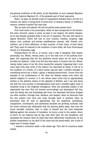the general conditions of life which, at the Seychelles, so soon released Napoleon I., and at Cayenne Napoleon III., of the greatest part of their opponents.

Shall I, at least, be allowed a kind of comparative freedom there: the life of a colonist, the option of doing work of some kind, of raising a family, or fulfilling a mission, however humble? Not even that.

'Nec jus mihi ciris ademit, Nil nisi me patriis jussit abesse focis,'

Ovid could write of his proscriptor, when he was transported to the Euxine. But mine, forsooth, wants to excel, at least in one respect, the twelve Caesars, as he has already exceeded Sylla in the art of massacre. The men who dared to oppose Monsieur Thiers will lose at once country, freedom, property, legal status, civic, political, and private qualifications, parents, wife, friends, love, children, use of their affections, of their muscles, of their brain, of their whole self. They must be reduced to the condition of mere fowls, fed from Government biscuit in a Polynesian cage.

Transportation for life is, of course, only a way of speaking. That means, practically, ten, fifteen, twenty years, up to the next turn of the political hourglass. But supposing that the dry guillotine should spare me for such a long mortalis avi spatium, I shall none the less have spent in durance the ten, fifteen, twenty better years of my life—from twenty-five upwards. Supposing that I ever come back from that circle of the Inferno not described by Dante, it will be in the condition of a wreck, of a mere human rag and waif, a perfect stranger to everything around me, a fossil, a ghost, a walking anachronism. I know, from the example of our predecessors of '48, what the disease means even when the patient happens to recover. It is one whose name could only be appropriately written in the skeleton letters of the alphabet of Holbein; and I can well fancy the slow but sure process of disorganisation that such a dreadful agent must of necessity bring to the brightest intelligence: when the miserable subject of the experiment has seen first his wonted surroundings and atmosphere fail him; next the family ties and friendships get loose, the stanchest devotions dropped one after another, through time, distance, and despair; when he discovers that his own powers turn slow and rusty through want of practice; when he ascertains that for lack of appropriate fuel his analytical, synthetical, comparative, coordinative, and aesthetical faculties are growing confused; that his social instincts get obliterated; that his memory glides away; that even his moral strength vanishes; that, in spite of himself and the most desperate fighting against the monster of insulation, he turns a prey to the canker; when, in short, he can measure day by day, year after year, his own decadence, and anticipate the moment when he shall have been definitively transformed, by the pitiless compression on his skull of the clime and the prison-walls, into a kind of sugar-cane in human shape!

I wanted a conscious death a few weeks ago. This will be conscious death indeed.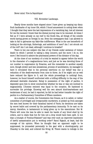Never mind. Vive la Republique!

#### VIII. November Landscape.

Nearly three months have elapsed since I have given up keeping my diary. Such landmarks of my inner life, which I found amusement in noting down when I thought that they were the last impressions of a vanishing day, lost all interest for me the moment I knew that the dismal journey was to be resumed. At times I feel as if I were already on my reef in the South Sea, all things of the outside world having grown so foreign to me. Even the newspapers that I am allowed to take in fail to galvanise my fakir-like indifference. What is the use henceforth of looking at the stirrings, flutterings, and ambitions of men? Am I not struck out of the roll? Am I not dead, although I continue to breathe?

There is but one subject—the fate of my friends under sentence of violent death—in which I persist in taking a deep concern; and the more I do so, the more I feel bound to admire the pharisaical powers of the dictator of the day.

At the close of our mockery of a trial he wanted to appear before the world in the character of a magnanimous hero; and just as he was devoting three of our number to suppression by firearms, and the remainder to another equally sure, though slower and less sensational, process of annihilation, he managed to have it circulated that to his personal exertions on our behalf was due a reduction of the death-warrants from nine to three. As if he might not as well have reduced the figure to 0, and the whole proceedings to nothing! Soon, however, he found himself confronted with a trifling difficulty in the way of the aforesaid desirable character. Being in possession of the right of pardon, it depended upon him to show conclusively whether he was or was not inclined to magnanimity. L'homme eminent was equal to the occasion. He hastened to surrender his privilege. Knowing well his own absurd kind-heartedness and tenderness of soul, he had it reported, he felt he had better transfer the right of pardon to a Parliamentary Committee of fifteen members.

As a matter of course, the Commission ties Graces, as it is called, or rather committee of privileged and irresponsible murderers, is picked up from amongst the men best known for their fanatical hatred of Paris; its decisions are taken by secret ballot and covered by the parliamentary immunity. To be cast on its mercy, therefore, is tantamount to being given up to the executioner. But M. Thiers will none the less be able to wash his hands of any blood shed by its orders, and to claim that but for him not a drop would have been spilt. Is not that a triumph of Pontius-Pilatism? and was ever such an improved machinery of lawful assassination put in working order? Raoul Rigault, at least, had the courage of his opinion. When he thought that an opponent ought to be suppressed, he proceeded personally to the gaol with a shooting-party, put Chandey to the wall, and ordered the firing. M. Thiers wants to indulge in the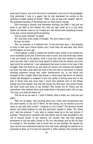same kind of sport, and none the less be considered a nice sort of old grandpapa. Only yesterday I read in a paper that he bad expressed his sorrow at the sentence of death passed on Rossel. 'What a pity he was ever caught!' said he. The practical comment of the phrase has not been long in coming.

Thi3 morning—a bitterly cold November morning, the 28th—I had just sat down to my desk in the tireless cell, with my legs rolled np in a rug, when Fabert, the warder, came in. As I looked up I was struck with something unusual in his face, and he seemed gruff and gloomy.

'Did you hear nothing?' he asked.

'No.' And then, with a flash of thought, 'You don't mean to say—'

He bent his head.

'Yes,' he resumed, in a subdued tone. 'It has just been done. I was detailed on duty to wait upon Colonel Rossel, and I come back. He was shot, with Ferré and Bourgeois, an hour ago.'

I stood aghast, unable to realise the terrible news, which to me seemed the more incredible as the cell of Ferré was next to mine, and only three days before I had met Rossel in the gallery. Such a long time had been allowed to elapse since the trial, that I could not bring myself to believe that the wanton and cruel deed would be carried out. I can understand that much is done in the heat of the struggle, when the blood is up, and when all notions are confused and passions are loose. But half a year after the close of the civil war, in cold blood, to resume shooting prisoners--young men under twenty-seven too, in the bloom and strength of life, a bright officer like Rossel, or stout heart like Ferré, an obscure soldier like Bourgeois (a sergeant of the Line, guilty of having come over to the side of Paris)—this was more than I could have believed even of the fifteen hyenas and their master. And still who knows but that their very youth formed the chief crime and doom of my friends? Who knows but M. Thiers and his myrmidons—who between them must make about a thousand years—did not say, 'You boys, you shall die before us!'

'Tell me all as you saw it,' I said to Fabert, after a while, as I took pen and paper.

'Well, sir,' he began, 'this morning, about six, I went, with the governor and the chief warder, to the cell of Ferré. He was asleep, but he started up as we came in, and said, with a smile, "I suppose it is for to-day?" The governor bowed assent, and asked whether he had any particular request to make. "No, thank you," said the prisoner. "I only wish to remain alone up to the last minute, if possible." The governor complied with this desire; and we next proceeded to the cell of Colonel Rossel. In the interval, his counsel, who had been granted permission to bid him adieu, joined us. He, too, was asleep, and he did not hear us coming in. The barrister had to touch him on the shoulder. He opened his eyes, and at once understood that the hour had come, although he seemed to be surprised at first, as if he had not expected it. After talking a few minutes with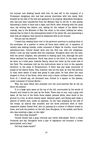his counsel, and shaking hands with him, he was left in the company of a Protestant clergyman who had had several interviews with him lately. Both kneeled by the side of the bed and appeared to be praying. Meanwhile Bourgeois, who had just been transferred from the Military Gaol to cell No. 9, was quietly discussing a bottle of wine and a cigar; and Ferré, after dressing with his usual care, sat writing two letters: one, asking for the release of his father from custody, was to the Minister of War; the other, to his sister, bidding her adieu, stating that he died in the philosophical belief of his whole life, and expressing a wish that all religious rites should be dispensed with at his funeral.'

'Did you see the letters?'

'I heard him reading them over to the governor previous to putting them in the envelopes. At a quarter to seven all three were called out. A squadron of cavalry was waiting outside, under command of Major de Crenitz, round three ambulance-vans. Colonel Rossel went into the first one, with the clergyman, whilst I took my seat outside with the coachman. Bourgeois went into the next, with the prison chaplain, who persisted in waiting upon him, although the poor fellow declined his attentions. Ferré was alone in the third. In the same order we went, at a brisk pace, towards Satory, about two miles up the south side of the Park. The coachman told me the instructions were to turn in the opposite direction, to the camp of Rocqnencourt, if there was any large concourse of people at the Satory Butts. This, however, was not the case, as very few persons in town were aware of what was going to take place. So that when the vans stopped in front of the Butts, there were only a dozen civilians there, besides a force of, I should say, six thousand men, formed in a square on the plateau, under command of Colonel Merlin.'

'Why, the same fellow who presided over the court-martial! Bat do tell me about the plateau.'

'It is a large open space at the top of the hill, surrounded by the woods of Gonard, and closed to the east by the Butts. There was no sun, only a gray cold dawn. At the foot of the Butts three stakes, painted white, were stuck in the ground in a line, at about twenty paces' distance apart, and facing each stake a platoon of twelve men, under an adjutant. On the vans stopping by the side of the troops, an alarum was sounded, and the three prisoners went to their respective stakes: Rossel first, who on passing by a cluster of officers bowed to them, and took his position on the left; then Bourgeois, in the middle; and Ferré, who was smoking a cigar, on the right.'

'How were they dressed?'

'Colonel Rossel had a gray overcoat and velvet wide-awake. Ferré, a black frockcoat and hat. Bourgeois wore a pair of regulation red trousers, a brown patrol-jacket, and a kepi.'

'Did they shake hands?'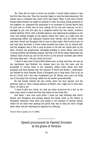'No. They did not seem to know one another. I would rather believe it was the first time they met. Then the recorder began to read the death-warrants. The silence was so complete that every word was heard. When it was done Colonel Rossel asked whether he might be allowed to order the firing. Being answered in the negative, he. requested the assurance to be conveyed to Colonel Merlin that he bore him no ill-will; and at once, taking off his hat and overcoat, he let a bandage be put over his eyes by a sergeant—which the two others, however, quietly declined. Ferré, with a familiar gesture, was adjusting his eyeglass on his nose, and looking straight at the platoon before him, when, at a sign from the commanding officer, the adjutants lowered their swords, and the treble volley was fired. Rossel and Bourgeois fell at once on their backs. Ferré stood erect; he had only been wounded. A fresh volley knocked him down; but he stirred still, and the sergeant had to fire a coup de grace in his left ear, which split up his skull. Directly two greyhounds, belonging probably to some officer, were seen running towards the bleeding corpses, and had to be driven away. Meanwhile the military band struck up, and all the forces on the ground marched past before the three dead men.' 'Did you notice the tune?'

'I think it was some of those Belle Helene airs, as they call them. As soon as the march-past was finished, the corpses were put into the vans, and we proceeded to convey them to the cemetery, where three shells had been prepared and three graves dug. The remains of Ferré and Rossel, I understand, are claimed by their families; those of Bourgeois are to stay there. This is all, as far as I know; and I can only compliment you, M. Moray, upon your not being one of the party this morning,' added the old warder good-naturedly.

He had hardly uttered the last words, when the door opened, and the governer came in. After looking askance at Fabert, who 'ought not to have been there,' he said to me:

'I come to give you notice, sir, that you leave to-morrow for a fort on the west coast, there to await the first ship ready for the South Sea.'

And when I was once more alone I could not help thinking that Ferré, Rossel, and Bourgeois had perhaps gained the better prize in the lottery of Versaillist clemency. They were now asleep in the embrace of eternal repose; whilst for me there was opening the grave that was to keep me alive, though dead—dead, and yet retaining the capacity for suffering.

SOURCE: Time (London) vol. 3 (1880).

Speech pronounced by Paschal Grousset at the grave of Verdure

---------------------------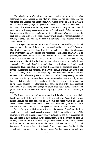My friends, an awful bit of news came yesterday to strike us with astonishment and sadness. A man that we loved, that we esteemed, that we venerated like a father, had unexpectedly succumbed to the attacks of a sudden illness. Just a few days ago, we greeted him with a friendly word when we met him along this shore that he frequented, calm and smiling in the midst of misfortune, with every appearance of strength and health. Today, we pay our last respects to his corpse: [Augustin] Verdure will never again see France. He died, the doctors tell us, of a terrible malady which is called "general paralysis;" but, my friends, I tell you that he died of a far more terrible disease, which is called "deportation."

At the age of rest and retirement, at a hour when the tired body and mind need to stop at the end of the road and contemplate the path traveled, Verdure, like all of us, was violently torn from his interests, his habits, his affections, from everything that gave charm and happiness to life. More painfully, if it is possible, than most, he was personally stricken. On the even of embarkation, his son-in-law, the natural and legal support of all that the old man left behind him, and of a grandchild still to be born, his son-in-law was dead, suddenly, in the same cell as [Théophile] Ferré, to whom he had brought advice based on his legal experience. Then, misfortune would have it that, since his departure from Brest, for ten long months, our venerable friend would remain without any news of his relations. Finally, if we must tell everything  $-$  and why shouldn't we speak our saddest truths before the grave of this honest man?  $-$  the depressing spectacle that has too often given, even here, to our adversaries, men unworthy of the honor of being banished, the scandal of the failures and disorders that you know, these sources of bitterness had come to mix with deep personal sufferings. It was more than enough to crush that noble, pure, sensitive and proud heart. He was broken without making any complaint, without breathing a sigh.

My friends, those among us to whom it will be given to return to their hearth can say that they witnessed the death of a just man. The entire life of the citizen Verdure has been dedicated to the people, for which reason he came to die so far from his own. I wanted to tell you the detailed history of that life; but I lack the documents, and I must limit myself to a sketch in broad strokes.

Led early by a decided vocation towards the career of teaching, Verdure devoted himself to the most modest of tasks: he distributed to the children of his country, in the Pas-de-Calais, that primary instruction, the most necessary of all, and which is most lacking; in the accomplishment of his duties, he bore an untiring devotion, the rare patience that you have known in him, and which was in him one of the ornaments of the most solid and varied professional knowledge. It is there that in the heart of his village, among his family, his school and his garden, he lived his best years. This happiness would not last.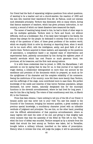Our friend had the fault of separating religious questions from school questions, of wanting to be a teacher and not a church-warden: the reaction of 1850 and the men who received their watchword from Mr. de Falloux, could not tolerate such detestable principles. Verdure was dismissed, with so many others, during that famous massacre of teachers, which has given primary instruction, in our country, a wound of which our latest disasters have measured the depth.

The career of teaching being closed to him, he had to think of other ways to use his multiples aptitudes. Verdure went to Paris and found, not without difficulty, work as a bookkeeper. But, if his daily labor belonged to his family, his leisure was always for the people: he dedicated it entirely from them on to the study of the questions of labor, of these great problems of the modern world, which we stupidly think to solve by shooting or deporting them, when it would not be too much effort, with the intelligence, amity, and good faith of all to resolve them. Verdure acquired in these matters, and especially on the questions of association, a competence based o an imposed mass of observations and experimental facts, patiently accumulated by him during the eighteen years of harmful servitude which has cost France so much generous blood, two provinces, all its treasures, and the first rank among nations.

It is with these credentials that he joined, in 1869, the Marseillaise; I will astonish no one by saying that he was for us, in that journal of so rapid and tragic destiny, a collaborator distinguished on more than one account by the excellence and precision of the documents which he prepared, as much as for the uprightness of his character and the complete reliability of his commerce. Seeing the misfortune of his country: none felt them more keenly than Verdure, and the sufferings of the siege, none contributed more to ease them. His perfect knowledge of the needs and miseries of that heroic Parisian population, always decimated, but never beaten, naturally designated him for the municipal functions in the eleventh arrondissement, where he had lived for long years. I was for him like a big family. The voters of that constituency sent him, on March 20, to the Commune.

From that date citizens, I have nothing to tell you of the life of our friend: it became public and was never lost to your view. You saw him seated in the Councils of the Commune, bringing his eminent qualities, a great modesty and precious special knowledge, a conciliatory character joined with an inflexible rectitude of judgment and principles. You see him, on the other hand, presiding over the difficult administration of that populous arrondissement, where so many regrets will meet the news of his end, and giving to that weighty task every moment that that the assembly of the Hôtel de Ville left to him. Then, when the hour of defeat was sounded, Verdure escaped as by a miracle from the death that struck the best among us. Verdure was taken, led to Versailles, brought before a military tribunal, inscribed on the tables of proscription. History when it reviews this trial, will judge the judges; it will be astonished by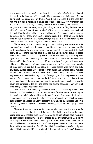the singular crime reproached by them in this gentle defendant, who looked them full in the face, strong in his acts, his conscience and his honesty. Do you know what that crime was, my friends? Ah! Don't search for it in the Code, for you will not find it there: it is called the crime of philanthropy. "Verdure," the report of his accuser says literally, "Verdure is a utopian philanthropist..." A utopian if you wish, citizens, but a philanthropist for sure! Yes, Verdure was a philanthropist, a friend of men, a friend of the people; he wanted the good and the just; if suffered from the sorrows of others and from the evils of humanity; he wanted to cure them, or at least to relieve them; it is to that we that he gave what he had of strength, intelligence, courage and life: it is for that cause he has died as he lived, as a free man, as a son of the Revolution.

We, citizens, who accompany this good man to that grave, where his wife and daughter cannot come to weep, let his life serve us as an example and his death as a lesson! Do you know what I was thinking of just now, seeing the long spiral of the cortege that we have made for him uncoil on the flanks of these barren hills, seeing all the heavy hearts and all the damp eyes, looking back again towards that immensity of the oceans that separates us from our homeland? I thought of some very different cortèges that you will have been able to see, like me, spread along some avenues of our Paris, pompous funerals of some power of the day. I saw again those cars draped with velvet and silk, this plumed litter, those horses adorned with silver and all those social vanities accumulated to dress up the dead. But I also thought of the ordinary impressions of the crowd suite passage of this pomp, to those impressions which are so often summarized in two words: indifference and scorn. I heard them recall the titles of the dead man, enumerate his positions, evaluate his wealth, count the perjuries of his life; and there was always someone to say out loud what many thought: one villain less!

How different it is here, my friends! A poor casket carried by some exiled laborers; on that casket, a crown of wild flowers; for that casket, a hole dug in the sand of an isle lost beyond the borders of the world. But, behind that casket, a unanimous support of sad friends, a concert of regrets and affection, some mute sorrows and some expansive despairs, mourning on all the faces and even on the very ones who guard us, forced to respect, grasped by the majesty of this death!

However, these men, escorted in such dissimilar manners, the one towards a marble necropolis, the other to this desert, they both started from the same point; they both emerged from the French nation as our fathers have rebuilt it on the principle of equality; both were chosen by the free suffrage of their fellow citizens; both had their hour of triumph; both, in all, went to the same end, to unavoidable crucible where the immortal matter goes to melt, to return in a new form in the great current of life... Why is it that the sentiments awakened by the view of their funerals differ so profoundly? Do you ask it, my friends? It comes